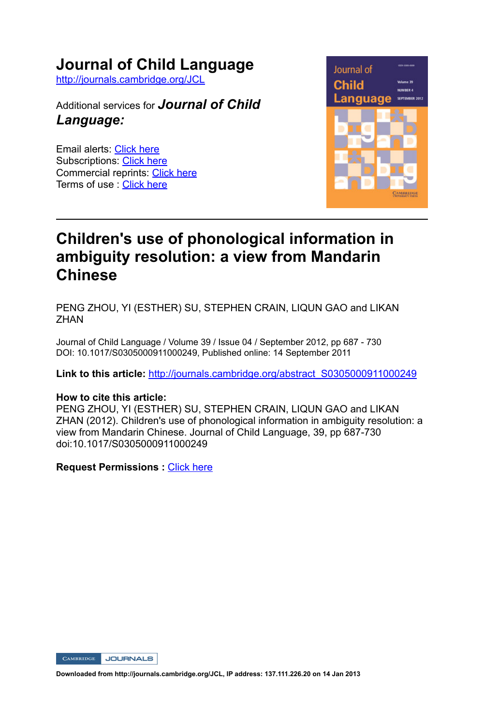# **Journal of Child Language**

http://journals.cambridge.org/JCL

Additional services for *Journal of Child Language:*

Email alerts: Click here Subscriptions: Click here Commercial reprints: Click here Terms of use : Click here



## **Children's use of phonological information in ambiguity resolution: a view from Mandarin Chinese**

PENG ZHOU, YI (ESTHER) SU, STEPHEN CRAIN, LIQUN GAO and LIKAN ZHAN

Journal of Child Language / Volume 39 / Issue 04 / September 2012, pp 687 - 730 DOI: 10.1017/S0305000911000249, Published online: 14 September 2011

**Link to this article:** http://journals.cambridge.org/abstract\_S0305000911000249

## **How to cite this article:**

PENG ZHOU, YI (ESTHER) SU, STEPHEN CRAIN, LIQUN GAO and LIKAN ZHAN (2012). Children's use of phonological information in ambiguity resolution: a view from Mandarin Chinese. Journal of Child Language, 39, pp 687-730 doi:10.1017/S0305000911000249

**Request Permissions :** Click here

CAMBRIDGE JOURNALS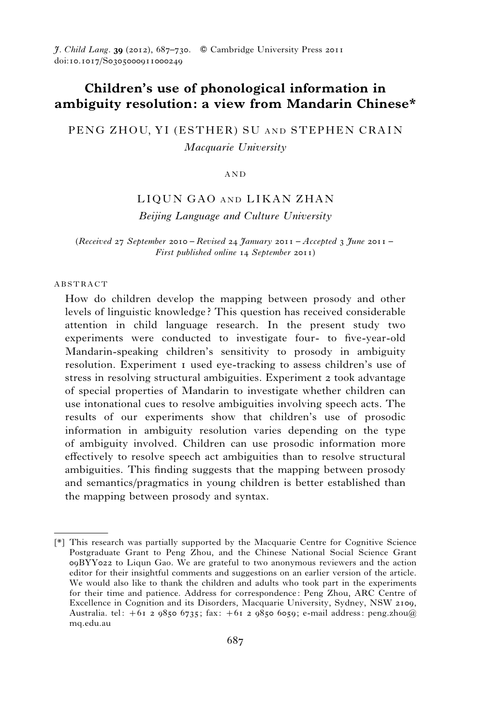## Children's use of phonological information in ambiguity resolution: a view from Mandarin Chinese\*

PENG ZHOU, YI (ESTHER) SU AND STEPHEN CRAIN

Macquarie University

#### AND

## LIQUN GAO AND LIKAN ZHAN

Beijing Language and Culture University

(Received 27 September 2010 – Revised 24 January 2011 – Accepted 3 June 2011 – First published online 14 September 2011)

### ABSTRACT

How do children develop the mapping between prosody and other levels of linguistic knowledge ? This question has received considerable attention in child language research. In the present study two experiments were conducted to investigate four- to five-year-old Mandarin-speaking children's sensitivity to prosody in ambiguity resolution. Experiment 1 used eye-tracking to assess children's use of stress in resolving structural ambiguities. Experiment 2 took advantage of special properties of Mandarin to investigate whether children can use intonational cues to resolve ambiguities involving speech acts. The results of our experiments show that children's use of prosodic information in ambiguity resolution varies depending on the type of ambiguity involved. Children can use prosodic information more effectively to resolve speech act ambiguities than to resolve structural ambiguities. This finding suggests that the mapping between prosody and semantics/pragmatics in young children is better established than the mapping between prosody and syntax.

<sup>[\*]</sup> This research was partially supported by the Macquarie Centre for Cognitive Science Postgraduate Grant to Peng Zhou, and the Chinese National Social Science Grant 09BYY022 to Liqun Gao. We are grateful to two anonymous reviewers and the action editor for their insightful comments and suggestions on an earlier version of the article. We would also like to thank the children and adults who took part in the experiments for their time and patience. Address for correspondence: Peng Zhou, ARC Centre of Excellence in Cognition and its Disorders, Macquarie University, Sydney, NSW 2109, Australia. tel:  $+6$ 1 2 9850 6735; fax:  $+6$ 1 2 9850 6059; e-mail address: peng.zhou@ mq.edu.au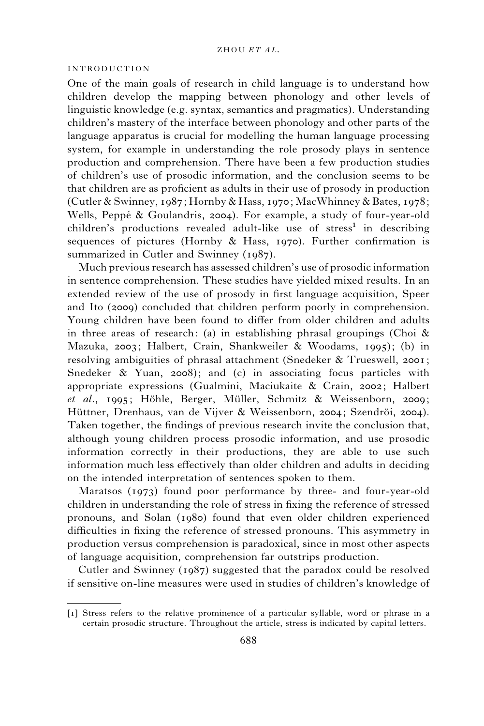#### INTRODUCTION

One of the main goals of research in child language is to understand how children develop the mapping between phonology and other levels of linguistic knowledge (e.g. syntax, semantics and pragmatics). Understanding children's mastery of the interface between phonology and other parts of the language apparatus is crucial for modelling the human language processing system, for example in understanding the role prosody plays in sentence production and comprehension. There have been a few production studies of children's use of prosodic information, and the conclusion seems to be that children are as proficient as adults in their use of prosody in production (Cutler & Swinney, 1987; Hornby & Hass, 1970; MacWhinney & Bates, 1978; Wells, Peppé & Goulandris, 2004). For example, a study of four-year-old  $children's$  productions revealed adult-like use of stress<sup>1</sup> in describing sequences of pictures (Hornby  $\&$  Hass, 1970). Further confirmation is summarized in Cutler and Swinney (1987).

Much previous research has assessed children's use of prosodic information in sentence comprehension. These studies have yielded mixed results. In an extended review of the use of prosody in first language acquisition, Speer and Ito (2009) concluded that children perform poorly in comprehension. Young children have been found to differ from older children and adults in three areas of research: (a) in establishing phrasal groupings (Choi  $\&$ Mazuka, 2003; Halbert, Crain, Shankweiler & Woodams, 1995); (b) in resolving ambiguities of phrasal attachment (Snedeker & Trueswell, 2001; Snedeker & Yuan,  $2008$ ; and (c) in associating focus particles with appropriate expressions (Gualmini, Maciukaite & Crain, 2002; Halbert et al., 1995; Höhle, Berger, Müller, Schmitz & Weissenborn, 2009; Hüttner, Drenhaus, van de Vijver & Weissenborn, 2004; Szendröi, 2004). Taken together, the findings of previous research invite the conclusion that, although young children process prosodic information, and use prosodic information correctly in their productions, they are able to use such information much less effectively than older children and adults in deciding on the intended interpretation of sentences spoken to them.

Maratsos (1973) found poor performance by three- and four-year-old children in understanding the role of stress in fixing the reference of stressed pronouns, and Solan (1980) found that even older children experienced difficulties in fixing the reference of stressed pronouns. This asymmetry in production versus comprehension is paradoxical, since in most other aspects of language acquisition, comprehension far outstrips production.

Cutler and Swinney (1987) suggested that the paradox could be resolved if sensitive on-line measures were used in studies of children's knowledge of

<sup>[1]</sup> Stress refers to the relative prominence of a particular syllable, word or phrase in a certain prosodic structure. Throughout the article, stress is indicated by capital letters.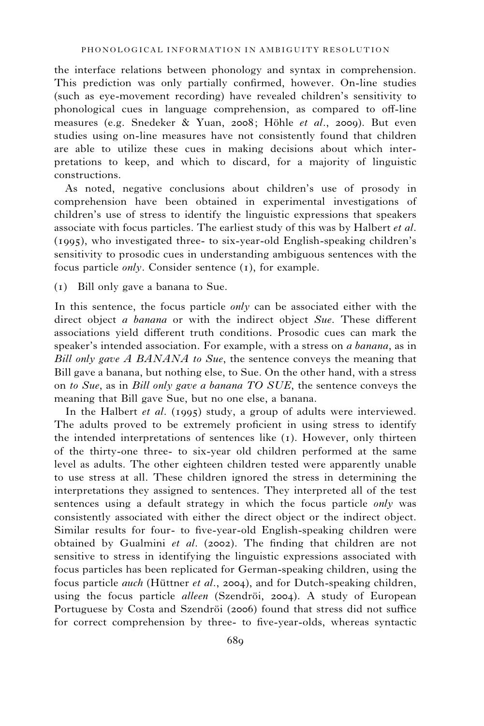the interface relations between phonology and syntax in comprehension. This prediction was only partially confirmed, however. On-line studies (such as eye-movement recording) have revealed children's sensitivity to phonological cues in language comprehension, as compared to off-line measures (e.g. Snedeker & Yuan, 2008; Höhle et al., 2009). But even studies using on-line measures have not consistently found that children are able to utilize these cues in making decisions about which interpretations to keep, and which to discard, for a majority of linguistic constructions.

As noted, negative conclusions about children's use of prosody in comprehension have been obtained in experimental investigations of children's use of stress to identify the linguistic expressions that speakers associate with focus particles. The earliest study of this was by Halbert et al. (1995), who investigated three- to six-year-old English-speaking children's sensitivity to prosodic cues in understanding ambiguous sentences with the focus particle only. Consider sentence (1), for example.

(1) Bill only gave a banana to Sue.

In this sentence, the focus particle *only* can be associated either with the direct object a banana or with the indirect object Sue. These different associations yield different truth conditions. Prosodic cues can mark the speaker's intended association. For example, with a stress on a banana, as in Bill only gave A BANANA to Sue, the sentence conveys the meaning that Bill gave a banana, but nothing else, to Sue. On the other hand, with a stress on to Sue, as in Bill only gave a banana TO SUE, the sentence conveys the meaning that Bill gave Sue, but no one else, a banana.

In the Halbert *et al.* (1995) study, a group of adults were interviewed. The adults proved to be extremely proficient in using stress to identify the intended interpretations of sentences like (1). However, only thirteen of the thirty-one three- to six-year old children performed at the same level as adults. The other eighteen children tested were apparently unable to use stress at all. These children ignored the stress in determining the interpretations they assigned to sentences. They interpreted all of the test sentences using a default strategy in which the focus particle only was consistently associated with either the direct object or the indirect object. Similar results for four- to five-year-old English-speaking children were obtained by Gualmini et al. (2002). The finding that children are not sensitive to stress in identifying the linguistic expressions associated with focus particles has been replicated for German-speaking children, using the focus particle *auch* (Hüttner *et al.*, 2004), and for Dutch-speaking children, using the focus particle alleen (Szendröi, 2004). A study of European Portuguese by Costa and Szendröi (2006) found that stress did not suffice for correct comprehension by three- to five-year-olds, whereas syntactic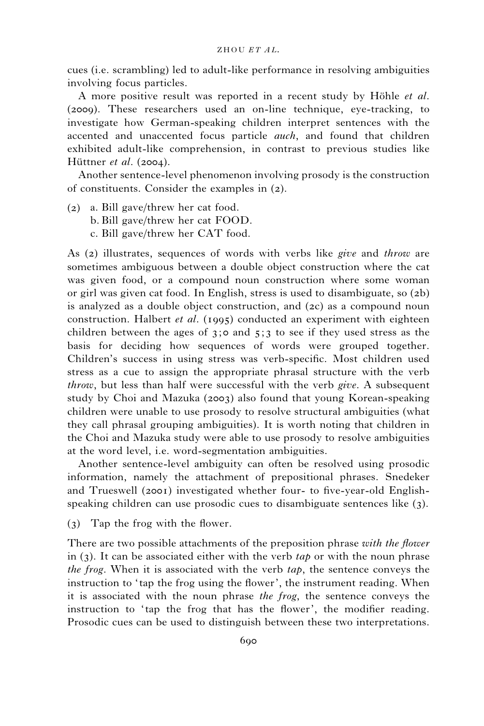cues (i.e. scrambling) led to adult-like performance in resolving ambiguities involving focus particles.

A more positive result was reported in a recent study by Höhle et al. (2009). These researchers used an on-line technique, eye-tracking, to investigate how German-speaking children interpret sentences with the accented and unaccented focus particle *auch*, and found that children exhibited adult-like comprehension, in contrast to previous studies like Hüttner et al.  $(2004)$ .

Another sentence-level phenomenon involving prosody is the construction of constituents. Consider the examples in (2).

- (2) a. Bill gave/threw her cat food.
	- b. Bill gave/threw her cat FOOD.
	- c. Bill gave/threw her CAT food.

As (2) illustrates, sequences of words with verbs like give and throw are sometimes ambiguous between a double object construction where the cat was given food, or a compound noun construction where some woman or girl was given cat food. In English, stress is used to disambiguate, so (2b) is analyzed as a double object construction, and (2c) as a compound noun construction. Halbert *et al.* (1995) conducted an experiment with eighteen children between the ages of  $3$ ;  $\circ$  and  $5$ ;  $\circ$  to see if they used stress as the basis for deciding how sequences of words were grouped together. Children's success in using stress was verb-specific. Most children used stress as a cue to assign the appropriate phrasal structure with the verb throw, but less than half were successful with the verb give. A subsequent study by Choi and Mazuka (2003) also found that young Korean-speaking children were unable to use prosody to resolve structural ambiguities (what they call phrasal grouping ambiguities). It is worth noting that children in the Choi and Mazuka study were able to use prosody to resolve ambiguities at the word level, i.e. word-segmentation ambiguities.

Another sentence-level ambiguity can often be resolved using prosodic information, namely the attachment of prepositional phrases. Snedeker and Trueswell (2001) investigated whether four- to five-year-old Englishspeaking children can use prosodic cues to disambiguate sentences like (3).

(3) Tap the frog with the flower.

There are two possible attachments of the preposition phrase with the flower in (3). It can be associated either with the verb  $ta\phi$  or with the noun phrase the frog. When it is associated with the verb  $tap$ , the sentence conveys the instruction to 'tap the frog using the flower', the instrument reading. When it is associated with the noun phrase the frog, the sentence conveys the instruction to 'tap the frog that has the flower', the modifier reading. Prosodic cues can be used to distinguish between these two interpretations.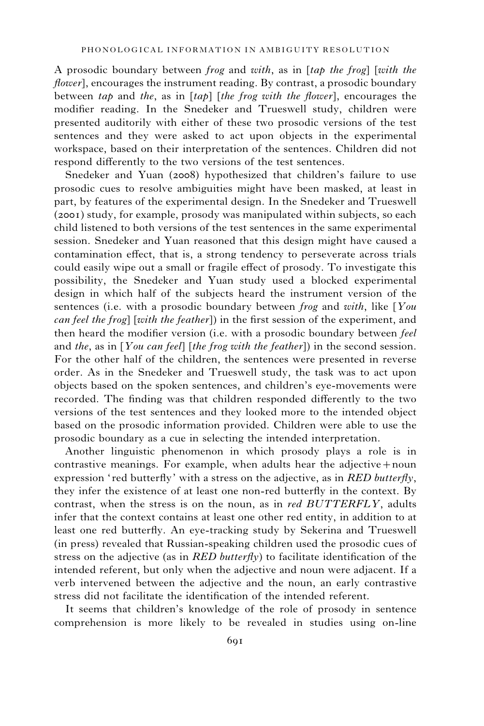A prosodic boundary between *frog* and with, as in  $[tap$  the *frog*] [with the flower], encourages the instrument reading. By contrast, a prosodic boundary between tap and the, as in  $[tap]$  [the frog with the flower], encourages the modifier reading. In the Snedeker and Trueswell study, children were presented auditorily with either of these two prosodic versions of the test sentences and they were asked to act upon objects in the experimental workspace, based on their interpretation of the sentences. Children did not respond differently to the two versions of the test sentences.

Snedeker and Yuan (2008) hypothesized that children's failure to use prosodic cues to resolve ambiguities might have been masked, at least in part, by features of the experimental design. In the Snedeker and Trueswell (2001) study, for example, prosody was manipulated within subjects, so each child listened to both versions of the test sentences in the same experimental session. Snedeker and Yuan reasoned that this design might have caused a contamination effect, that is, a strong tendency to perseverate across trials could easily wipe out a small or fragile effect of prosody. To investigate this possibility, the Snedeker and Yuan study used a blocked experimental design in which half of the subjects heard the instrument version of the sentences (i.e. with a prosodic boundary between *frog* and with, like [You] can feel the frog] [with the feather]) in the first session of the experiment, and then heard the modifier version (i.e. with a prosodic boundary between feel and the, as in  $\lceil You\ can\ feel\lceil$  [the frog with the feather]) in the second session. For the other half of the children, the sentences were presented in reverse order. As in the Snedeker and Trueswell study, the task was to act upon objects based on the spoken sentences, and children's eye-movements were recorded. The finding was that children responded differently to the two versions of the test sentences and they looked more to the intended object based on the prosodic information provided. Children were able to use the prosodic boundary as a cue in selecting the intended interpretation.

Another linguistic phenomenon in which prosody plays a role is in contrastive meanings. For example, when adults hear the adjective  $+$  noun expression 'red butterfly' with a stress on the adjective, as in  $RED$  butterfly, they infer the existence of at least one non-red butterfly in the context. By contrast, when the stress is on the noun, as in *red BUTTERFLY*, adults infer that the context contains at least one other red entity, in addition to at least one red butterfly. An eye-tracking study by Sekerina and Trueswell (in press) revealed that Russian-speaking children used the prosodic cues of stress on the adjective (as in RED butterfly) to facilitate identification of the intended referent, but only when the adjective and noun were adjacent. If a verb intervened between the adjective and the noun, an early contrastive stress did not facilitate the identification of the intended referent.

It seems that children's knowledge of the role of prosody in sentence comprehension is more likely to be revealed in studies using on-line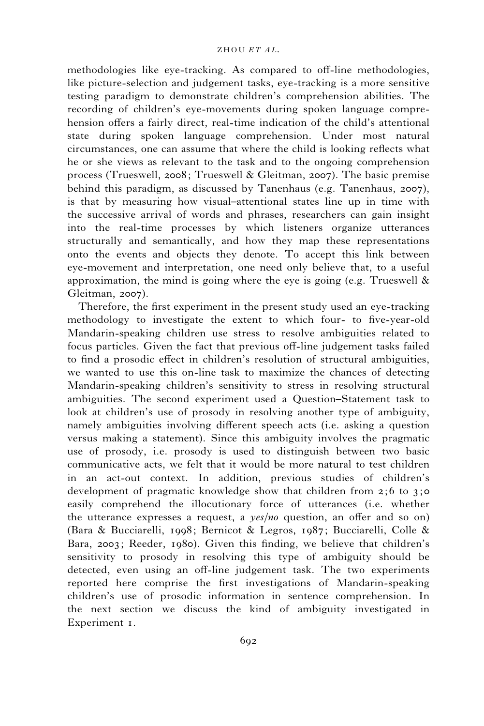methodologies like eye-tracking. As compared to off-line methodologies, like picture-selection and judgement tasks, eye-tracking is a more sensitive testing paradigm to demonstrate children's comprehension abilities. The recording of children's eye-movements during spoken language comprehension offers a fairly direct, real-time indication of the child's attentional state during spoken language comprehension. Under most natural circumstances, one can assume that where the child is looking reflects what he or she views as relevant to the task and to the ongoing comprehension process (Trueswell, 2008; Trueswell & Gleitman, 2007). The basic premise behind this paradigm, as discussed by Tanenhaus (e.g. Tanenhaus, 2007), is that by measuring how visual–attentional states line up in time with the successive arrival of words and phrases, researchers can gain insight into the real-time processes by which listeners organize utterances structurally and semantically, and how they map these representations onto the events and objects they denote. To accept this link between eye-movement and interpretation, one need only believe that, to a useful approximation, the mind is going where the eye is going (e.g. Trueswell  $\&$ Gleitman, 2007).

Therefore, the first experiment in the present study used an eye-tracking methodology to investigate the extent to which four- to five-year-old Mandarin-speaking children use stress to resolve ambiguities related to focus particles. Given the fact that previous off-line judgement tasks failed to find a prosodic effect in children's resolution of structural ambiguities, we wanted to use this on-line task to maximize the chances of detecting Mandarin-speaking children's sensitivity to stress in resolving structural ambiguities. The second experiment used a Question–Statement task to look at children's use of prosody in resolving another type of ambiguity, namely ambiguities involving different speech acts (i.e. asking a question versus making a statement). Since this ambiguity involves the pragmatic use of prosody, i.e. prosody is used to distinguish between two basic communicative acts, we felt that it would be more natural to test children in an act-out context. In addition, previous studies of children's development of pragmatic knowledge show that children from 2;6 to 3;0 easily comprehend the illocutionary force of utterances (i.e. whether the utterance expresses a request, a  $\frac{v}{g}$  question, an offer and so on) (Bara & Bucciarelli, 1998; Bernicot & Legros, 1987; Bucciarelli, Colle & Bara, 2003; Reeder, 1980). Given this finding, we believe that children's sensitivity to prosody in resolving this type of ambiguity should be detected, even using an off-line judgement task. The two experiments reported here comprise the first investigations of Mandarin-speaking children's use of prosodic information in sentence comprehension. In the next section we discuss the kind of ambiguity investigated in Experiment 1.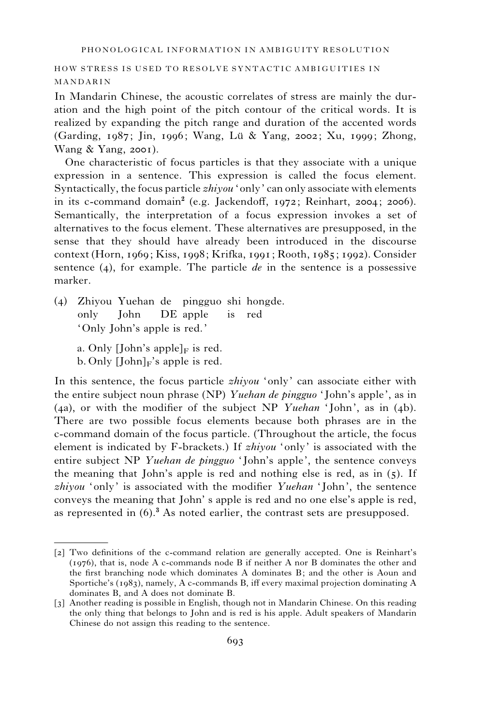PHONOLOGICAL INFORMATION IN AMBIGUITY RESOLUTION

HOW STRESS IS USED TO RESOLVE SYNTACTIC AMBIGUITIES IN MANDARIN

In Mandarin Chinese, the acoustic correlates of stress are mainly the duration and the high point of the pitch contour of the critical words. It is realized by expanding the pitch range and duration of the accented words (Garding, 1987; Jin, 1996; Wang, Lu¨ & Yang, 2002; Xu, 1999; Zhong, Wang & Yang, 2001).

One characteristic of focus particles is that they associate with a unique expression in a sentence. This expression is called the focus element. Syntactically, the focus particle  $zhivou'$  only' can only associate with elements in its c-command domain<sup>2</sup> (e.g. Jackendoff, 1972; Reinhart, 2004; 2006). Semantically, the interpretation of a focus expression invokes a set of alternatives to the focus element. These alternatives are presupposed, in the sense that they should have already been introduced in the discourse context (Horn, 1969; Kiss, 1998; Krifka, 1991; Rooth, 1985; 1992). Consider sentence (4), for example. The particle de in the sentence is a possessive marker.

- (4) Zhiyou Yuehan de pingguo shi hongde. only John DE apple is red 'Only John's apple is red.'
	- a. Only [John's apple] $_F$  is red. b. Only  $[John]_F$ 's apple is red.

In this sentence, the focus particle *zhiyou* 'only' can associate either with the entire subject noun phrase (NP) Yuehan de pingguo 'John's apple', as in (4a), or with the modifier of the subject NP Yuehan 'John', as in (4b). There are two possible focus elements because both phrases are in the c-command domain of the focus particle. (Throughout the article, the focus element is indicated by F-brackets.) If  $\chi hivou$  ' only' is associated with the entire subject NP Yuehan de pingguo 'John's apple', the sentence conveys the meaning that John's apple is red and nothing else is red, as in (5). If zhiyou 'only' is associated with the modifier Yuehan 'John', the sentence conveys the meaning that John' s apple is red and no one else's apple is red, as represented in  $(6)$ .<sup>3</sup> As noted earlier, the contrast sets are presupposed.

<sup>[2]</sup> Two definitions of the c-command relation are generally accepted. One is Reinhart's (1976), that is, node A c-commands node B if neither A nor B dominates the other and the first branching node which dominates A dominates B; and the other is Aoun and Sportiche's (1983), namely, A c-commands B, iff every maximal projection dominating A dominates B, and A does not dominate B.

<sup>[3]</sup> Another reading is possible in English, though not in Mandarin Chinese. On this reading the only thing that belongs to John and is red is his apple. Adult speakers of Mandarin Chinese do not assign this reading to the sentence.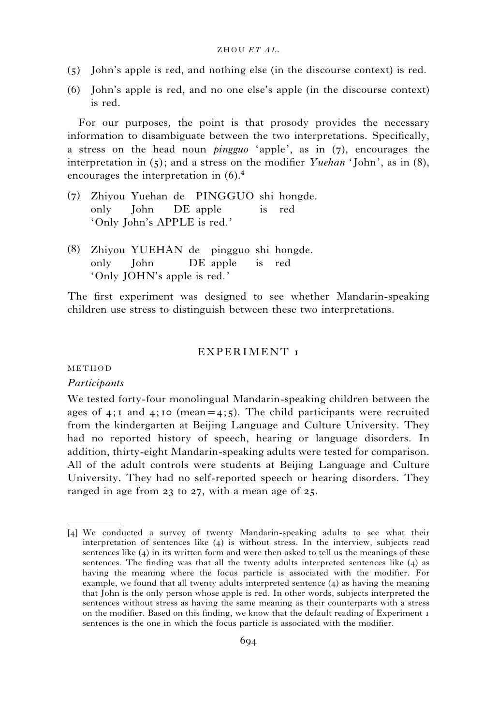- (5) John's apple is red, and nothing else (in the discourse context) is red.
- (6) John's apple is red, and no one else's apple (in the discourse context) is red.

For our purposes, the point is that prosody provides the necessary information to disambiguate between the two interpretations. Specifically, a stress on the head noun *pingguo* 'apple', as in  $(7)$ , encourages the interpretation in  $(5)$ ; and a stress on the modifier Yuehan 'John', as in  $(8)$ , encourages the interpretation in  $(6)$ .<sup>4</sup>

- (7) Zhiyou Yuehan de PINGGUO shi hongde. only John DE apple is red 'Only John's APPLE is red.'
- (8) Zhiyou YUEHAN de pingguo shi hongde. only John DE apple is red 'Only JOHN's apple is red.'

The first experiment was designed to see whether Mandarin-speaking children use stress to distinguish between these two interpretations.

## EXPERIMENT 1

METHOD

#### Participants

We tested forty-four monolingual Mandarin-speaking children between the ages of 4; 1 and 4; 10 (mean = 4; 5). The child participants were recruited from the kindergarten at Beijing Language and Culture University. They had no reported history of speech, hearing or language disorders. In addition, thirty-eight Mandarin-speaking adults were tested for comparison. All of the adult controls were students at Beijing Language and Culture University. They had no self-reported speech or hearing disorders. They ranged in age from 23 to 27, with a mean age of 25.

<sup>[4]</sup> We conducted a survey of twenty Mandarin-speaking adults to see what their interpretation of sentences like (4) is without stress. In the interview, subjects read sentences like  $(4)$  in its written form and were then asked to tell us the meanings of these sentences. The finding was that all the twenty adults interpreted sentences like (4) as having the meaning where the focus particle is associated with the modifier. For example, we found that all twenty adults interpreted sentence (4) as having the meaning that John is the only person whose apple is red. In other words, subjects interpreted the sentences without stress as having the same meaning as their counterparts with a stress on the modifier. Based on this finding, we know that the default reading of Experiment 1 sentences is the one in which the focus particle is associated with the modifier.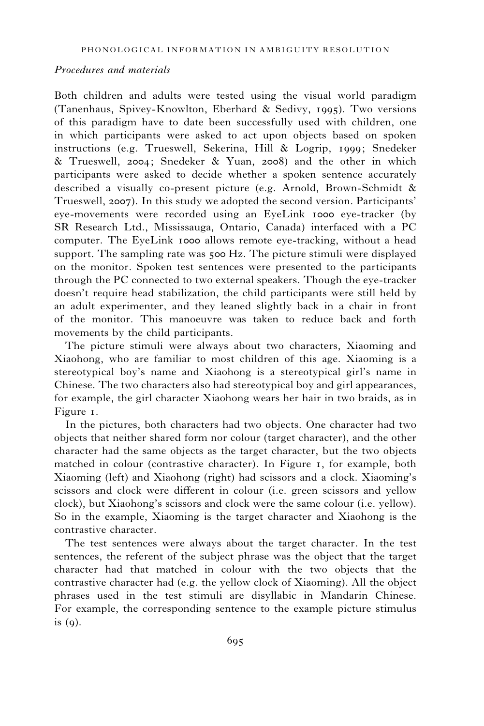## Procedures and materials

Both children and adults were tested using the visual world paradigm (Tanenhaus, Spivey-Knowlton, Eberhard & Sedivy, 1995). Two versions of this paradigm have to date been successfully used with children, one in which participants were asked to act upon objects based on spoken instructions (e.g. Trueswell, Sekerina, Hill & Logrip, 1999; Snedeker & Trueswell, 2004; Snedeker & Yuan, 2008) and the other in which participants were asked to decide whether a spoken sentence accurately described a visually co-present picture (e.g. Arnold, Brown-Schmidt & Trueswell, 2007). In this study we adopted the second version. Participants' eye-movements were recorded using an EyeLink 1000 eye-tracker (by SR Research Ltd., Mississauga, Ontario, Canada) interfaced with a PC computer. The EyeLink 1000 allows remote eye-tracking, without a head support. The sampling rate was 500 Hz. The picture stimuli were displayed on the monitor. Spoken test sentences were presented to the participants through the PC connected to two external speakers. Though the eye-tracker doesn't require head stabilization, the child participants were still held by an adult experimenter, and they leaned slightly back in a chair in front of the monitor. This manoeuvre was taken to reduce back and forth movements by the child participants.

The picture stimuli were always about two characters, Xiaoming and Xiaohong, who are familiar to most children of this age. Xiaoming is a stereotypical boy's name and Xiaohong is a stereotypical girl's name in Chinese. The two characters also had stereotypical boy and girl appearances, for example, the girl character Xiaohong wears her hair in two braids, as in Figure 1.

In the pictures, both characters had two objects. One character had two objects that neither shared form nor colour (target character), and the other character had the same objects as the target character, but the two objects matched in colour (contrastive character). In Figure 1, for example, both Xiaoming (left) and Xiaohong (right) had scissors and a clock. Xiaoming's scissors and clock were different in colour (i.e. green scissors and yellow clock), but Xiaohong's scissors and clock were the same colour (i.e. yellow). So in the example, Xiaoming is the target character and Xiaohong is the contrastive character.

The test sentences were always about the target character. In the test sentences, the referent of the subject phrase was the object that the target character had that matched in colour with the two objects that the contrastive character had (e.g. the yellow clock of Xiaoming). All the object phrases used in the test stimuli are disyllabic in Mandarin Chinese. For example, the corresponding sentence to the example picture stimulus is  $(q)$ .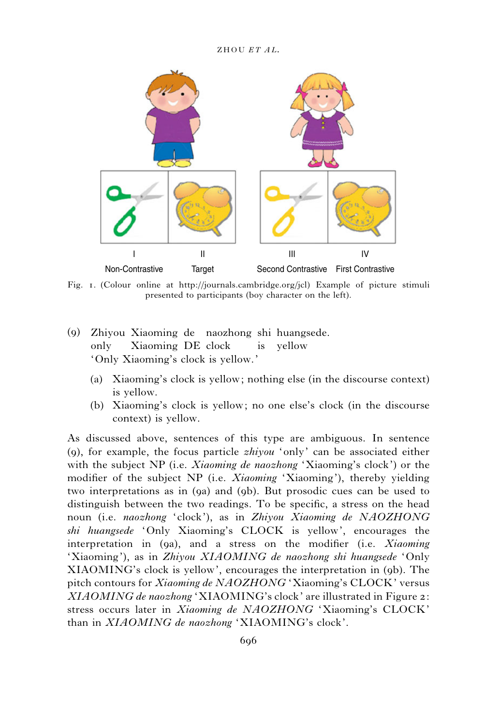

Fig. 1. (Colour online at http://journals.cambridge.org/jcl) Example of picture stimuli presented to participants (boy character on the left).

- (9) Zhiyou Xiaoming de naozhong shi huangsede. only Xiaoming DE clock is yellow 'Only Xiaoming's clock is yellow.'
	- (a) Xiaoming's clock is yellow; nothing else (in the discourse context) is yellow.
	- (b) Xiaoming's clock is yellow; no one else's clock (in the discourse context) is yellow.

As discussed above, sentences of this type are ambiguous. In sentence (9), for example, the focus particle  $\hat{z} \hat{h} \hat{i}$  and  $\hat{j}$  can be associated either with the subject NP (i.e. *Xiaoming de naozhong* 'Xiaoming's clock') or the modifier of the subject NP (i.e. *Xiaoming* 'Xiaoming'), thereby yielding two interpretations as in (9a) and (9b). But prosodic cues can be used to distinguish between the two readings. To be specific, a stress on the head noun (i.e. naozhong 'clock'), as in Zhiyou Xiaoming de NAOZHONG shi huangsede 'Only Xiaoming's CLOCK is yellow', encourages the interpretation in (9a), and a stress on the modifier (i.e. Xiaoming 'Xiaoming'), as in Zhiyou XIAOMING de naozhong shi huangsede 'Only XIAOMING's clock is yellow', encourages the interpretation in (9b). The pitch contours for Xiaoming de NAOZHONG 'Xiaoming's CLOCK' versus XIAOMING de naozhong 'XIAOMING's clock' are illustrated in Figure 2: stress occurs later in Xiaoming de NAOZHONG 'Xiaoming's CLOCK' than in XIAOMING de naozhong 'XIAOMING's clock'.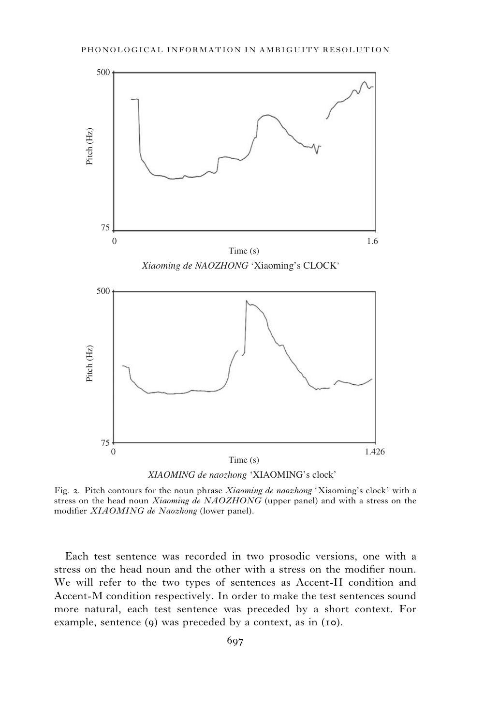

*XIAOMING de naozhong* 'XIAOMING's clock'

Fig. 2. Pitch contours for the noun phrase Xiaoming de naozhong 'Xiaoming's clock' with a stress on the head noun *Xiaoming de NAOZHONG* (upper panel) and with a stress on the modifier XIAOMING de Naozhong (lower panel).

Each test sentence was recorded in two prosodic versions, one with a stress on the head noun and the other with a stress on the modifier noun. We will refer to the two types of sentences as Accent-H condition and Accent-M condition respectively. In order to make the test sentences sound more natural, each test sentence was preceded by a short context. For example, sentence (9) was preceded by a context, as in (10).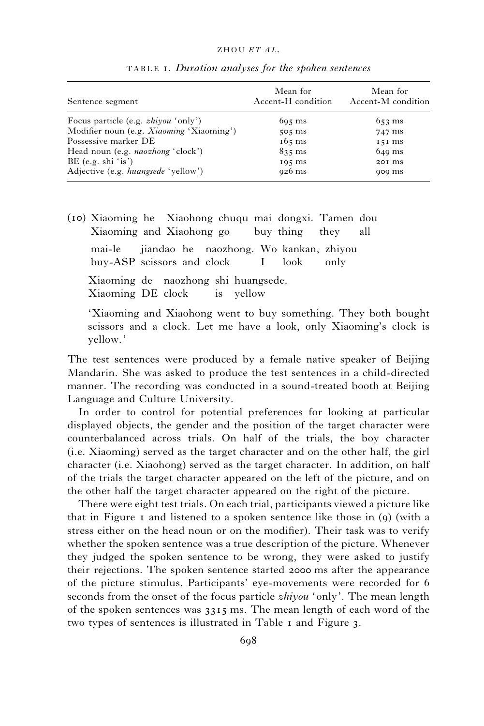#### ZHOU ET AL.

| Sentence segment                                | Mean for<br>Accent-H condition | Mean for<br>Accent-M condition |
|-------------------------------------------------|--------------------------------|--------------------------------|
| Focus particle (e.g. <i>zhiyou</i> 'only')      | $695 \text{ ms}$               | $653 \text{ ms}$               |
| Modifier noun (e.g. <i>Xiaoming</i> 'Xiaoming') | $505$ ms                       | 747 ms                         |
| Possessive marker DE                            | $165$ ms                       | $151$ ms                       |
| Head noun (e.g. <i>naozhong</i> 'clock')        | $835 \text{ ms}$               | $649$ ms                       |
| $BE$ (e.g. shi 'is')                            | 195 ms                         | 201 ms                         |
| Adjective (e.g. <i>huangsede</i> 'yellow')      | $926$ ms                       | 909 ms                         |

TABLE 1. Duration analyses for the spoken sentences

(10) Xiaoming he Xiaohong chuqu mai dongxi. Tamen dou Xiaoming and Xiaohong go buy thing they all mai-le jiandao he naozhong. Wo kankan, zhiyou buy-ASP scissors and clock I look only Xiaoming de naozhong shi huangsede. Xiaoming DE clock is yellow

'Xiaoming and Xiaohong went to buy something. They both bought scissors and a clock. Let me have a look, only Xiaoming's clock is yellow.'

The test sentences were produced by a female native speaker of Beijing Mandarin. She was asked to produce the test sentences in a child-directed manner. The recording was conducted in a sound-treated booth at Beijing Language and Culture University.

In order to control for potential preferences for looking at particular displayed objects, the gender and the position of the target character were counterbalanced across trials. On half of the trials, the boy character (i.e. Xiaoming) served as the target character and on the other half, the girl character (i.e. Xiaohong) served as the target character. In addition, on half of the trials the target character appeared on the left of the picture, and on the other half the target character appeared on the right of the picture.

There were eight test trials. On each trial, participants viewed a picture like that in Figure 1 and listened to a spoken sentence like those in  $(q)$  (with a stress either on the head noun or on the modifier). Their task was to verify whether the spoken sentence was a true description of the picture. Whenever they judged the spoken sentence to be wrong, they were asked to justify their rejections. The spoken sentence started 2000 ms after the appearance of the picture stimulus. Participants' eye-movements were recorded for 6 seconds from the onset of the focus particle *zhiyou* 'only'. The mean length of the spoken sentences was 3315 ms. The mean length of each word of the two types of sentences is illustrated in Table 1 and Figure 3.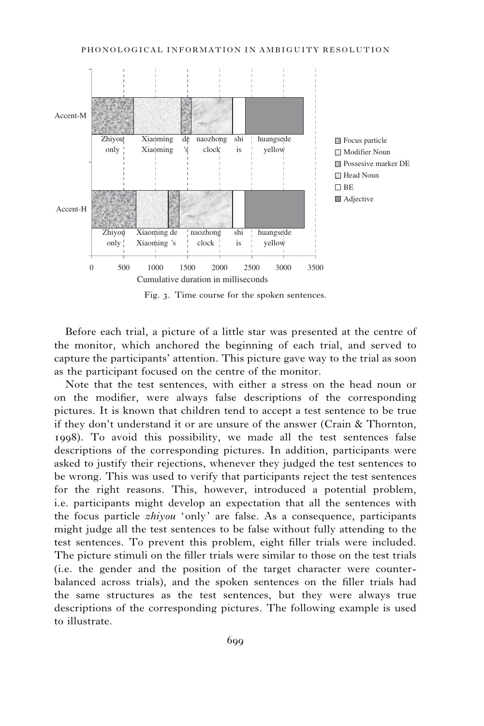

Fig. 3. Time course for the spoken sentences.

Before each trial, a picture of a little star was presented at the centre of the monitor, which anchored the beginning of each trial, and served to capture the participants' attention. This picture gave way to the trial as soon as the participant focused on the centre of the monitor.

Note that the test sentences, with either a stress on the head noun or on the modifier, were always false descriptions of the corresponding pictures. It is known that children tend to accept a test sentence to be true if they don't understand it or are unsure of the answer (Crain & Thornton, 1998). To avoid this possibility, we made all the test sentences false descriptions of the corresponding pictures. In addition, participants were asked to justify their rejections, whenever they judged the test sentences to be wrong. This was used to verify that participants reject the test sentences for the right reasons. This, however, introduced a potential problem, i.e. participants might develop an expectation that all the sentences with the focus particle zhiyou 'only' are false. As a consequence, participants might judge all the test sentences to be false without fully attending to the test sentences. To prevent this problem, eight filler trials were included. The picture stimuli on the filler trials were similar to those on the test trials (i.e. the gender and the position of the target character were counterbalanced across trials), and the spoken sentences on the filler trials had the same structures as the test sentences, but they were always true descriptions of the corresponding pictures. The following example is used to illustrate.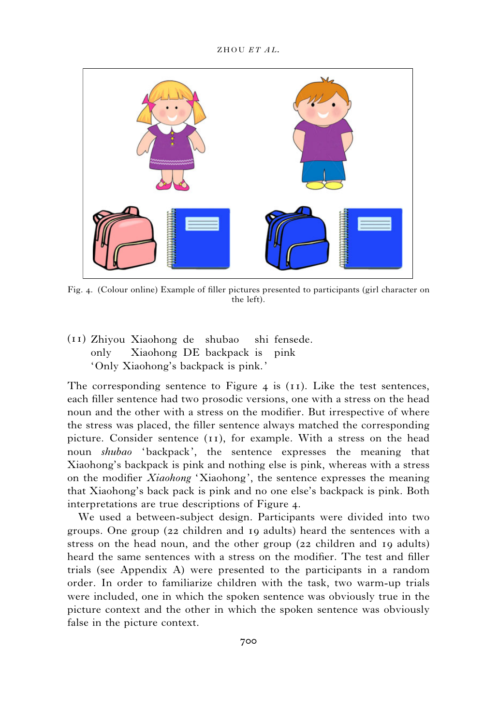

Fig. 4. (Colour online) Example of filler pictures presented to participants (girl character on the left).

(11) Zhiyou Xiaohong de shubao shi fensede. only Xiaohong DE backpack is pink 'Only Xiaohong's backpack is pink.'

The corresponding sentence to Figure  $4$  is (11). Like the test sentences, each filler sentence had two prosodic versions, one with a stress on the head noun and the other with a stress on the modifier. But irrespective of where the stress was placed, the filler sentence always matched the corresponding picture. Consider sentence (11), for example. With a stress on the head noun shubao 'backpack', the sentence expresses the meaning that Xiaohong's backpack is pink and nothing else is pink, whereas with a stress on the modifier Xiaohong 'Xiaohong', the sentence expresses the meaning that Xiaohong's back pack is pink and no one else's backpack is pink. Both interpretations are true descriptions of Figure 4.

We used a between-subject design. Participants were divided into two groups. One group (22 children and 19 adults) heard the sentences with a stress on the head noun, and the other group (22 children and 19 adults) heard the same sentences with a stress on the modifier. The test and filler trials (see Appendix A) were presented to the participants in a random order. In order to familiarize children with the task, two warm-up trials were included, one in which the spoken sentence was obviously true in the picture context and the other in which the spoken sentence was obviously false in the picture context.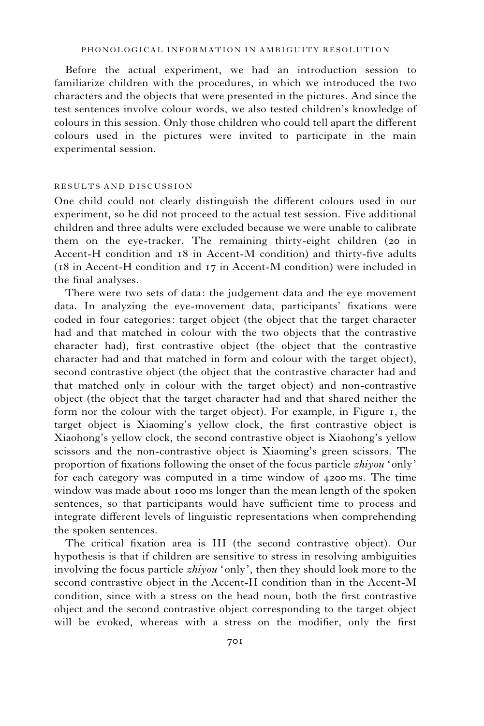Before the actual experiment, we had an introduction session to familiarize children with the procedures, in which we introduced the two characters and the objects that were presented in the pictures. And since the test sentences involve colour words, we also tested children's knowledge of colours in this session. Only those children who could tell apart the different colours used in the pictures were invited to participate in the main experimental session.

#### RESULTS AND DISCUSSION

One child could not clearly distinguish the different colours used in our experiment, so he did not proceed to the actual test session. Five additional children and three adults were excluded because we were unable to calibrate them on the eye-tracker. The remaining thirty-eight children (20 in Accent-H condition and 18 in Accent-M condition) and thirty-five adults (18 in Accent-H condition and 17 in Accent-M condition) were included in the final analyses.

There were two sets of data: the judgement data and the eye movement data. In analyzing the eye-movement data, participants' fixations were coded in four categories: target object (the object that the target character had and that matched in colour with the two objects that the contrastive character had), first contrastive object (the object that the contrastive character had and that matched in form and colour with the target object), second contrastive object (the object that the contrastive character had and that matched only in colour with the target object) and non-contrastive object (the object that the target character had and that shared neither the form nor the colour with the target object). For example, in Figure 1, the target object is Xiaoming's yellow clock, the first contrastive object is Xiaohong's yellow clock, the second contrastive object is Xiaohong's yellow scissors and the non-contrastive object is Xiaoming's green scissors. The proportion of fixations following the onset of the focus particle zhiyou 'only' for each category was computed in a time window of 4200 ms. The time window was made about 1000 ms longer than the mean length of the spoken sentences, so that participants would have sufficient time to process and integrate different levels of linguistic representations when comprehending the spoken sentences.

The critical fixation area is III (the second contrastive object). Our hypothesis is that if children are sensitive to stress in resolving ambiguities involving the focus particle zhiyou 'only', then they should look more to the second contrastive object in the Accent-H condition than in the Accent-M condition, since with a stress on the head noun, both the first contrastive object and the second contrastive object corresponding to the target object will be evoked, whereas with a stress on the modifier, only the first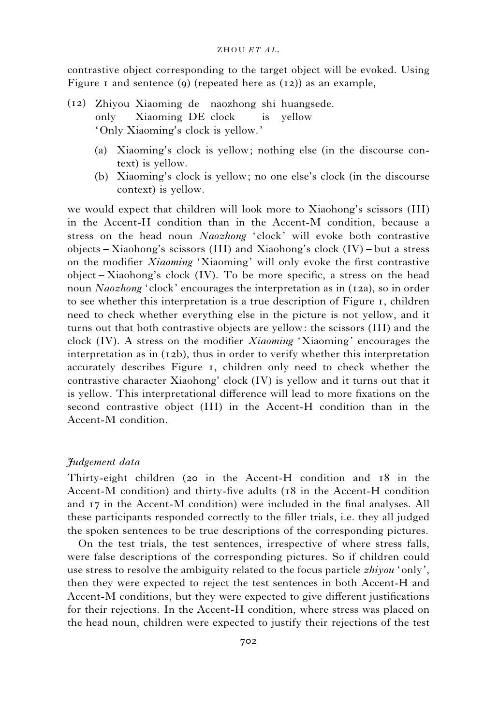contrastive object corresponding to the target object will be evoked. Using Figure 1 and sentence (9) (repeated here as  $(12)$ ) as an example,

- (12) Zhiyou Xiaoming de naozhong shi huangsede. only Xiaoming DE clock is yellow 'Only Xiaoming's clock is yellow.'
	- (a) Xiaoming's clock is yellow; nothing else (in the discourse context) is yellow.
	- (b) Xiaoming's clock is yellow; no one else's clock (in the discourse context) is yellow.

we would expect that children will look more to Xiaohong's scissors (III) in the Accent-H condition than in the Accent-M condition, because a stress on the head noun Naozhong 'clock' will evoke both contrastive objects – Xiaohong's scissors (III) and Xiaohong's clock (IV) – but a stress on the modifier Xiaoming 'Xiaoming' will only evoke the first contrastive object – Xiaohong's clock (IV). To be more specific, a stress on the head noun Naozhong 'clock' encourages the interpretation as in (12a), so in order to see whether this interpretation is a true description of Figure 1, children need to check whether everything else in the picture is not yellow, and it turns out that both contrastive objects are yellow: the scissors (III) and the clock (IV). A stress on the modifier Xiaoming 'Xiaoming' encourages the interpretation as in (12b), thus in order to verify whether this interpretation accurately describes Figure 1, children only need to check whether the contrastive character Xiaohong' clock (IV) is yellow and it turns out that it is yellow. This interpretational difference will lead to more fixations on the second contrastive object (III) in the Accent-H condition than in the Accent-M condition.

## Judgement data

Thirty-eight children (20 in the Accent-H condition and 18 in the Accent-M condition) and thirty-five adults (18 in the Accent-H condition and 17 in the Accent-M condition) were included in the final analyses. All these participants responded correctly to the filler trials, i.e. they all judged the spoken sentences to be true descriptions of the corresponding pictures.

On the test trials, the test sentences, irrespective of where stress falls, were false descriptions of the corresponding pictures. So if children could use stress to resolve the ambiguity related to the focus particle  $\hat{z}hivou$  'only', then they were expected to reject the test sentences in both Accent-H and Accent-M conditions, but they were expected to give different justifications for their rejections. In the Accent-H condition, where stress was placed on the head noun, children were expected to justify their rejections of the test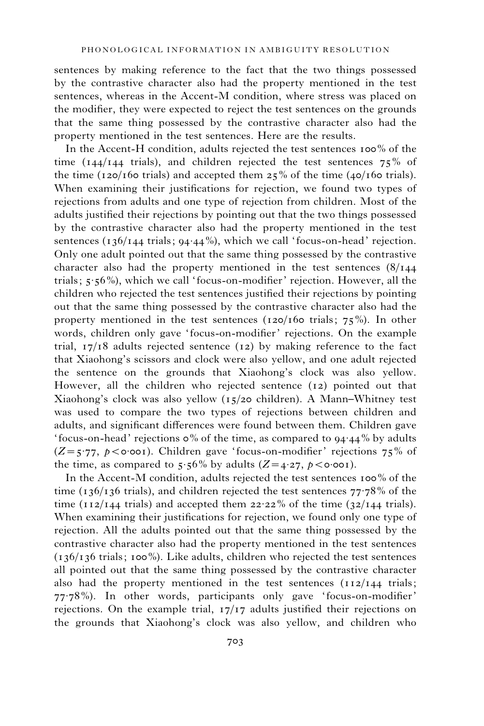sentences by making reference to the fact that the two things possessed by the contrastive character also had the property mentioned in the test sentences, whereas in the Accent-M condition, where stress was placed on the modifier, they were expected to reject the test sentences on the grounds that the same thing possessed by the contrastive character also had the property mentioned in the test sentences. Here are the results.

In the Accent-H condition, adults rejected the test sentences 100% of the time  $(144/144 \text{ trials})$ , and children rejected the test sentences  $75\%$  of the time (120/160 trials) and accepted them  $25\%$  of the time (40/160 trials). When examining their justifications for rejection, we found two types of rejections from adults and one type of rejection from children. Most of the adults justified their rejections by pointing out that the two things possessed by the contrastive character also had the property mentioned in the test sentences  $(136/144 \text{ trials}; 94.44\%)$ , which we call 'focus-on-head' rejection. Only one adult pointed out that the same thing possessed by the contrastive character also had the property mentioned in the test sentences  $(8/144)$ trials;  $5.56\%$ , which we call 'focus-on-modifier' rejection. However, all the children who rejected the test sentences justified their rejections by pointing out that the same thing possessed by the contrastive character also had the property mentioned in the test sentences ( $120/160$  trials;  $75\%$ ). In other words, children only gave 'focus-on-modifier' rejections. On the example trial,  $17/18$  adults rejected sentence (12) by making reference to the fact that Xiaohong's scissors and clock were also yellow, and one adult rejected the sentence on the grounds that Xiaohong's clock was also yellow. However, all the children who rejected sentence (12) pointed out that Xiaohong's clock was also yellow (15/20 children). A Mann–Whitney test was used to compare the two types of rejections between children and adults, and significant differences were found between them. Children gave ' focus-on-head' rejections  $\circ$ % of the time, as compared to 94.44% by adults  $(Z=5.77, p<\circ\circ\circ\circ)$ . Children gave 'focus-on-modifier' rejections 75% of the time, as compared to  $5.56\%$  by adults ( $Z=4.27$ ,  $p < \circ \circ$ o1).

In the Accent-M condition, adults rejected the test sentences 100% of the time (136/136 trials), and children rejected the test sentences  $77.78\%$  of the time (112/144 trials) and accepted them  $22.22\%$  of the time ( $32/144$  trials). When examining their justifications for rejection, we found only one type of rejection. All the adults pointed out that the same thing possessed by the contrastive character also had the property mentioned in the test sentences (136/136 trials; 100%). Like adults, children who rejected the test sentences all pointed out that the same thing possessed by the contrastive character also had the property mentioned in the test sentences  $(112/144 \text{ trials})$ ; 77.78%). In other words, participants only gave 'focus-on-modifier' rejections. On the example trial,  $17/17$  adults justified their rejections on the grounds that Xiaohong's clock was also yellow, and children who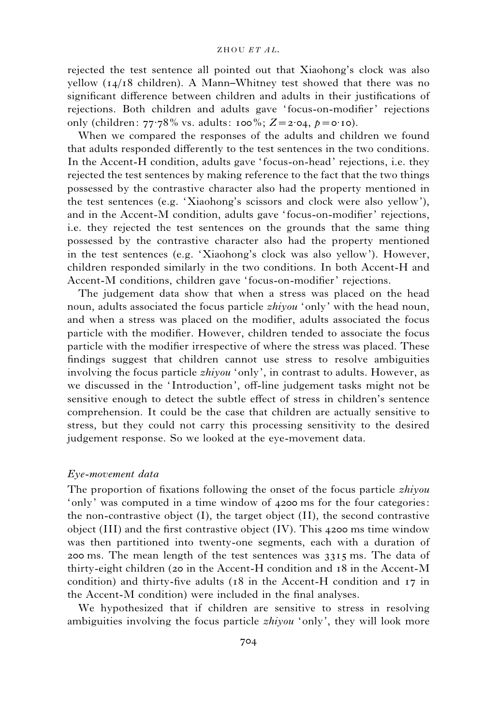rejected the test sentence all pointed out that Xiaohong's clock was also yellow  $(14/18 \text{ children})$ . A Mann–Whitney test showed that there was no significant difference between children and adults in their justifications of rejections. Both children and adults gave ' focus-on-modifier' rejections only (children:  $77.78\%$  vs. adults: 100%;  $Z=2.04$ ,  $p=0.10$ ).

When we compared the responses of the adults and children we found that adults responded differently to the test sentences in the two conditions. In the Accent-H condition, adults gave ' focus-on-head' rejections, i.e. they rejected the test sentences by making reference to the fact that the two things possessed by the contrastive character also had the property mentioned in the test sentences (e.g. 'Xiaohong's scissors and clock were also yellow'), and in the Accent-M condition, adults gave 'focus-on-modifier' rejections, i.e. they rejected the test sentences on the grounds that the same thing possessed by the contrastive character also had the property mentioned in the test sentences (e.g. 'Xiaohong's clock was also yellow'). However, children responded similarly in the two conditions. In both Accent-H and Accent-M conditions, children gave 'focus-on-modifier' rejections.

The judgement data show that when a stress was placed on the head noun, adults associated the focus particle  $\hat{z}$ hiyou 'only' with the head noun, and when a stress was placed on the modifier, adults associated the focus particle with the modifier. However, children tended to associate the focus particle with the modifier irrespective of where the stress was placed. These findings suggest that children cannot use stress to resolve ambiguities involving the focus particle *zhiyou* 'only', in contrast to adults. However, as we discussed in the 'Introduction', off-line judgement tasks might not be sensitive enough to detect the subtle effect of stress in children's sentence comprehension. It could be the case that children are actually sensitive to stress, but they could not carry this processing sensitivity to the desired judgement response. So we looked at the eye-movement data.

#### Eye-movement data

The proportion of fixations following the onset of the focus particle *zhivou* 'only' was computed in a time window of 4200 ms for the four categories: the non-contrastive object  $(I)$ , the target object  $(II)$ , the second contrastive object  $(III)$  and the first contrastive object  $(IV)$ . This 4200 ms time window was then partitioned into twenty-one segments, each with a duration of 200 ms. The mean length of the test sentences was 3315 ms. The data of thirty-eight children (20 in the Accent-H condition and 18 in the Accent-M condition) and thirty-five adults  $(18 \text{ in the Account-H condition and } 17 \text{ in}$ the Accent-M condition) were included in the final analyses.

We hypothesized that if children are sensitive to stress in resolving ambiguities involving the focus particle *zhiyou* 'only', they will look more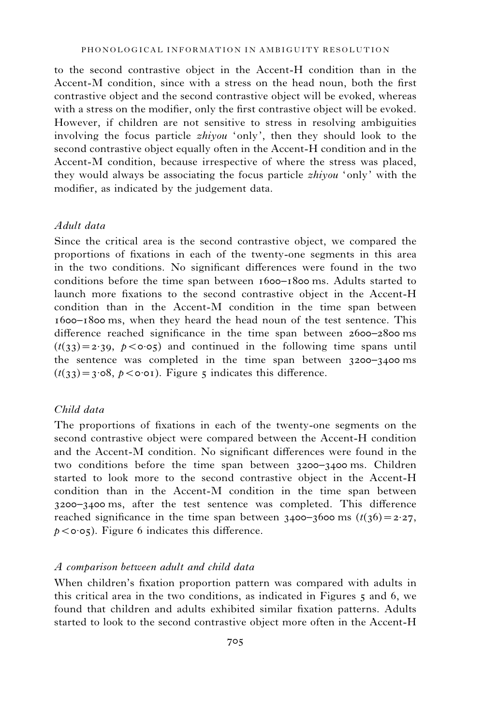to the second contrastive object in the Accent-H condition than in the Accent-M condition, since with a stress on the head noun, both the first contrastive object and the second contrastive object will be evoked, whereas with a stress on the modifier, only the first contrastive object will be evoked. However, if children are not sensitive to stress in resolving ambiguities involving the focus particle zhiyou 'only', then they should look to the second contrastive object equally often in the Accent-H condition and in the Accent-M condition, because irrespective of where the stress was placed, they would always be associating the focus particle zhiyou 'only' with the modifier, as indicated by the judgement data.

## Adult data

Since the critical area is the second contrastive object, we compared the proportions of fixations in each of the twenty-one segments in this area in the two conditions. No significant differences were found in the two conditions before the time span between 1600–1800 ms. Adults started to launch more fixations to the second contrastive object in the Accent-H condition than in the Accent-M condition in the time span between 1600–1800 ms, when they heard the head noun of the test sentence. This difference reached significance in the time span between 2600–2800 ms  $(t(33)=2.39, p<0.05)$  and continued in the following time spans until the sentence was completed in the time span between 3200–3400 ms  $(t(33)=3.08, p<0.01)$ . Figure 5 indicates this difference.

## Child data

The proportions of fixations in each of the twenty-one segments on the second contrastive object were compared between the Accent-H condition and the Accent-M condition. No significant differences were found in the two conditions before the time span between 3200–3400 ms. Children started to look more to the second contrastive object in the Accent-H condition than in the Accent-M condition in the time span between 3200–3400 ms, after the test sentence was completed. This difference reached significance in the time span between  $3400-3600$  ms  $(t(36)=2.27$ ,  $p \lt o \cdot o \cdot \cdot$ . Figure 6 indicates this difference.

#### A comparison between adult and child data

When children's fixation proportion pattern was compared with adults in this critical area in the two conditions, as indicated in Figures 5 and 6, we found that children and adults exhibited similar fixation patterns. Adults started to look to the second contrastive object more often in the Accent-H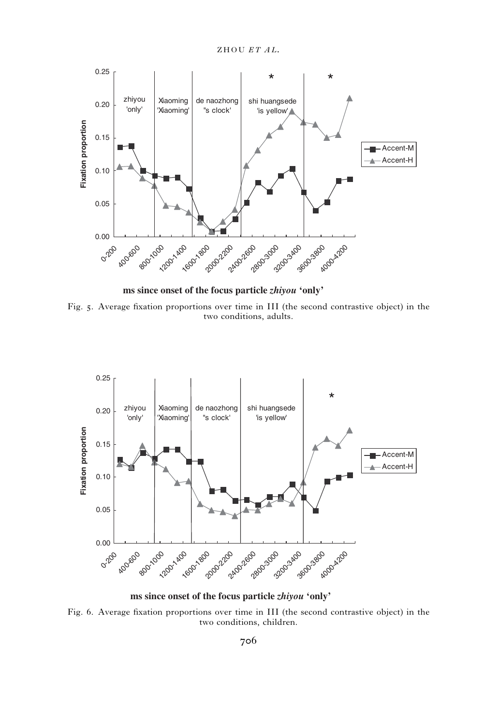

**ms since onset of the focus particle** *zhiyou* **'only'**

Fig. 5. Average fixation proportions over time in III (the second contrastive object) in the two conditions, adults.



**ms since onset of the focus particle** *zhiyou* **'only'**

Fig. 6. Average fixation proportions over time in III (the second contrastive object) in the two conditions, children.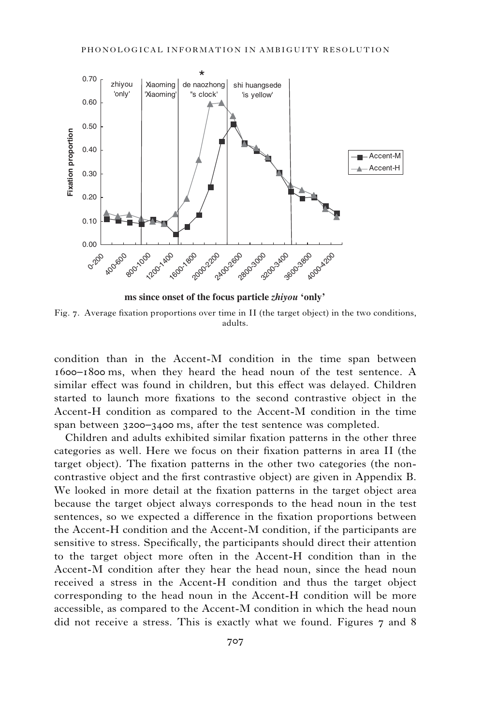

Fig. 7. Average fixation proportions over time in II (the target object) in the two conditions, adults.

condition than in the Accent-M condition in the time span between 1600–1800 ms, when they heard the head noun of the test sentence. A similar effect was found in children, but this effect was delayed. Children started to launch more fixations to the second contrastive object in the Accent-H condition as compared to the Accent-M condition in the time span between 3200–3400 ms, after the test sentence was completed.

Children and adults exhibited similar fixation patterns in the other three categories as well. Here we focus on their fixation patterns in area II (the target object). The fixation patterns in the other two categories (the noncontrastive object and the first contrastive object) are given in Appendix B. We looked in more detail at the fixation patterns in the target object area because the target object always corresponds to the head noun in the test sentences, so we expected a difference in the fixation proportions between the Accent-H condition and the Accent-M condition, if the participants are sensitive to stress. Specifically, the participants should direct their attention to the target object more often in the Accent-H condition than in the Accent-M condition after they hear the head noun, since the head noun received a stress in the Accent-H condition and thus the target object corresponding to the head noun in the Accent-H condition will be more accessible, as compared to the Accent-M condition in which the head noun did not receive a stress. This is exactly what we found. Figures 7 and 8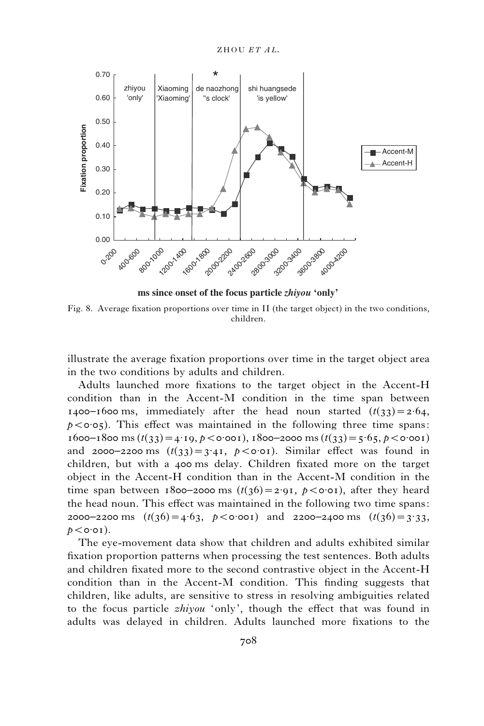

Fig. 8. Average fixation proportions over time in II (the target object) in the two conditions, children.

illustrate the average fixation proportions over time in the target object area in the two conditions by adults and children.

Adults launched more fixations to the target object in the Accent-H condition than in the Accent-M condition in the time span between 1400–1600 ms, immediately after the head noun started  $(t(33))=2.64$ ,  $p \lt o \cdot o \cdot o \cdot s$ ). This effect was maintained in the following three time spans:  $1600 - 1800$  ms  $(t(33)) = 4.19$ ,  $p < 0.001$ ),  $1800 - 2000$  ms  $(t(33)) = 5.65$ ,  $p < 0.001$ and 2000–2200 ms  $(t(33)) = 3.41$ ,  $p < 0.01$ . Similar effect was found in children, but with a 400 ms delay. Children fixated more on the target object in the Accent-H condition than in the Accent-M condition in the time span between 1800–2000 ms  $(t(36)=2.91, p < 0.01)$ , after they heard the head noun. This effect was maintained in the following two time spans: 2000–2200 ms  $(t(36)=4.63, p < 0.001)$  and 2200–2400 ms  $(t(36)=3.33,$  $p < o \cdot o(1)$ .

The eye-movement data show that children and adults exhibited similar fixation proportion patterns when processing the test sentences. Both adults and children fixated more to the second contrastive object in the Accent-H condition than in the Accent-M condition. This finding suggests that children, like adults, are sensitive to stress in resolving ambiguities related to the focus particle *zhiyou* 'only', though the effect that was found in adults was delayed in children. Adults launched more fixations to the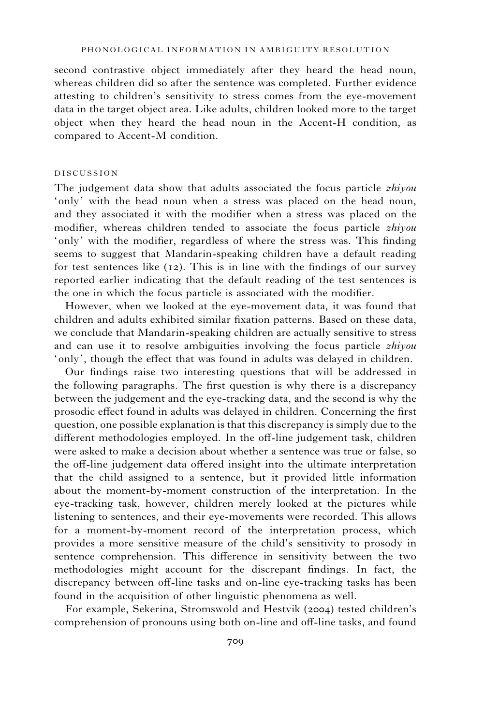second contrastive object immediately after they heard the head noun, whereas children did so after the sentence was completed. Further evidence attesting to children's sensitivity to stress comes from the eye-movement data in the target object area. Like adults, children looked more to the target object when they heard the head noun in the Accent-H condition, as compared to Accent-M condition.

#### DISCUSSION

The judgement data show that adults associated the focus particle *zhiyou* 'only' with the head noun when a stress was placed on the head noun, and they associated it with the modifier when a stress was placed on the modifier, whereas children tended to associate the focus particle *zhivou* 'only' with the modifier, regardless of where the stress was. This finding seems to suggest that Mandarin-speaking children have a default reading for test sentences like (12). This is in line with the findings of our survey reported earlier indicating that the default reading of the test sentences is the one in which the focus particle is associated with the modifier.

However, when we looked at the eye-movement data, it was found that children and adults exhibited similar fixation patterns. Based on these data, we conclude that Mandarin-speaking children are actually sensitive to stress and can use it to resolve ambiguities involving the focus particle *zhiyou* 'only', though the effect that was found in adults was delayed in children.

Our findings raise two interesting questions that will be addressed in the following paragraphs. The first question is why there is a discrepancy between the judgement and the eye-tracking data, and the second is why the prosodic effect found in adults was delayed in children. Concerning the first question, one possible explanation is that this discrepancy is simply due to the different methodologies employed. In the off-line judgement task, children were asked to make a decision about whether a sentence was true or false, so the off-line judgement data offered insight into the ultimate interpretation that the child assigned to a sentence, but it provided little information about the moment-by-moment construction of the interpretation. In the eye-tracking task, however, children merely looked at the pictures while listening to sentences, and their eye-movements were recorded. This allows for a moment-by-moment record of the interpretation process, which provides a more sensitive measure of the child's sensitivity to prosody in sentence comprehension. This difference in sensitivity between the two methodologies might account for the discrepant findings. In fact, the discrepancy between off-line tasks and on-line eye-tracking tasks has been found in the acquisition of other linguistic phenomena as well.

For example, Sekerina, Stromswold and Hestvik (2004) tested children's comprehension of pronouns using both on-line and off-line tasks, and found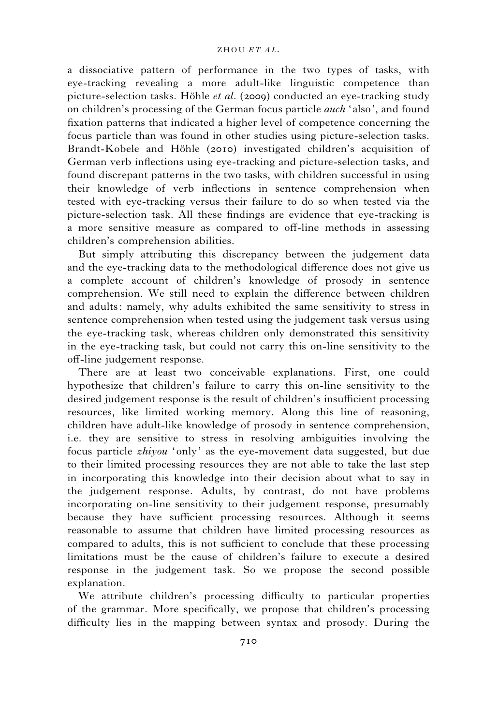a dissociative pattern of performance in the two types of tasks, with eye-tracking revealing a more adult-like linguistic competence than picture-selection tasks. Höhle *et al.* (2009) conducted an eye-tracking study on children's processing of the German focus particle *auch* 'also', and found fixation patterns that indicated a higher level of competence concerning the focus particle than was found in other studies using picture-selection tasks. Brandt-Kobele and Höhle (2010) investigated children's acquisition of German verb inflections using eye-tracking and picture-selection tasks, and found discrepant patterns in the two tasks, with children successful in using their knowledge of verb inflections in sentence comprehension when tested with eye-tracking versus their failure to do so when tested via the picture-selection task. All these findings are evidence that eye-tracking is a more sensitive measure as compared to off-line methods in assessing children's comprehension abilities.

But simply attributing this discrepancy between the judgement data and the eye-tracking data to the methodological difference does not give us a complete account of children's knowledge of prosody in sentence comprehension. We still need to explain the difference between children and adults: namely, why adults exhibited the same sensitivity to stress in sentence comprehension when tested using the judgement task versus using the eye-tracking task, whereas children only demonstrated this sensitivity in the eye-tracking task, but could not carry this on-line sensitivity to the off-line judgement response.

There are at least two conceivable explanations. First, one could hypothesize that children's failure to carry this on-line sensitivity to the desired judgement response is the result of children's insufficient processing resources, like limited working memory. Along this line of reasoning, children have adult-like knowledge of prosody in sentence comprehension, i.e. they are sensitive to stress in resolving ambiguities involving the focus particle  $zhivou$  'only' as the eye-movement data suggested, but due to their limited processing resources they are not able to take the last step in incorporating this knowledge into their decision about what to say in the judgement response. Adults, by contrast, do not have problems incorporating on-line sensitivity to their judgement response, presumably because they have sufficient processing resources. Although it seems reasonable to assume that children have limited processing resources as compared to adults, this is not sufficient to conclude that these processing limitations must be the cause of children's failure to execute a desired response in the judgement task. So we propose the second possible explanation.

We attribute children's processing difficulty to particular properties of the grammar. More specifically, we propose that children's processing difficulty lies in the mapping between syntax and prosody. During the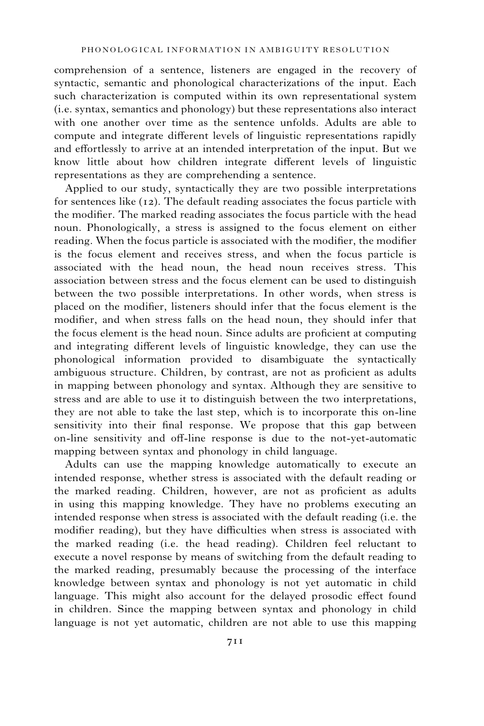comprehension of a sentence, listeners are engaged in the recovery of syntactic, semantic and phonological characterizations of the input. Each such characterization is computed within its own representational system (i.e. syntax, semantics and phonology) but these representations also interact with one another over time as the sentence unfolds. Adults are able to compute and integrate different levels of linguistic representations rapidly and effortlessly to arrive at an intended interpretation of the input. But we know little about how children integrate different levels of linguistic representations as they are comprehending a sentence.

Applied to our study, syntactically they are two possible interpretations for sentences like (12). The default reading associates the focus particle with the modifier. The marked reading associates the focus particle with the head noun. Phonologically, a stress is assigned to the focus element on either reading. When the focus particle is associated with the modifier, the modifier is the focus element and receives stress, and when the focus particle is associated with the head noun, the head noun receives stress. This association between stress and the focus element can be used to distinguish between the two possible interpretations. In other words, when stress is placed on the modifier, listeners should infer that the focus element is the modifier, and when stress falls on the head noun, they should infer that the focus element is the head noun. Since adults are proficient at computing and integrating different levels of linguistic knowledge, they can use the phonological information provided to disambiguate the syntactically ambiguous structure. Children, by contrast, are not as proficient as adults in mapping between phonology and syntax. Although they are sensitive to stress and are able to use it to distinguish between the two interpretations, they are not able to take the last step, which is to incorporate this on-line sensitivity into their final response. We propose that this gap between on-line sensitivity and off-line response is due to the not-yet-automatic mapping between syntax and phonology in child language.

Adults can use the mapping knowledge automatically to execute an intended response, whether stress is associated with the default reading or the marked reading. Children, however, are not as proficient as adults in using this mapping knowledge. They have no problems executing an intended response when stress is associated with the default reading (i.e. the modifier reading), but they have difficulties when stress is associated with the marked reading (i.e. the head reading). Children feel reluctant to execute a novel response by means of switching from the default reading to the marked reading, presumably because the processing of the interface knowledge between syntax and phonology is not yet automatic in child language. This might also account for the delayed prosodic effect found in children. Since the mapping between syntax and phonology in child language is not yet automatic, children are not able to use this mapping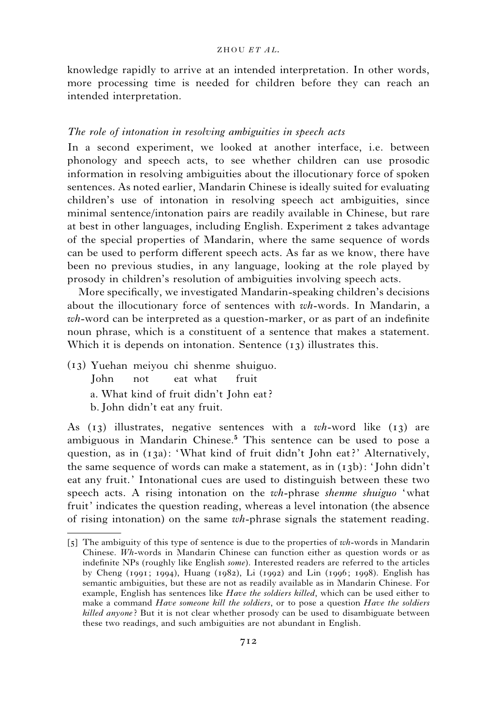knowledge rapidly to arrive at an intended interpretation. In other words, more processing time is needed for children before they can reach an intended interpretation.

#### The role of intonation in resolving ambiguities in speech acts

In a second experiment, we looked at another interface, i.e. between phonology and speech acts, to see whether children can use prosodic information in resolving ambiguities about the illocutionary force of spoken sentences. As noted earlier, Mandarin Chinese is ideally suited for evaluating children's use of intonation in resolving speech act ambiguities, since minimal sentence/intonation pairs are readily available in Chinese, but rare at best in other languages, including English. Experiment 2 takes advantage of the special properties of Mandarin, where the same sequence of words can be used to perform different speech acts. As far as we know, there have been no previous studies, in any language, looking at the role played by prosody in children's resolution of ambiguities involving speech acts.

More specifically, we investigated Mandarin-speaking children's decisions about the illocutionary force of sentences with wh-words. In Mandarin, a wh-word can be interpreted as a question-marker, or as part of an indefinite noun phrase, which is a constituent of a sentence that makes a statement. Which it is depends on intonation. Sentence (13) illustrates this.

(13) Yuehan meiyou chi shenme shuiguo. John not eat what fruit a. What kind of fruit didn't John eat? b. John didn't eat any fruit.

As  $(13)$  illustrates, negative sentences with a wh-word like  $(13)$  are ambiguous in Mandarin Chinese.<sup>5</sup> This sentence can be used to pose a question, as in (13a): 'What kind of fruit didn't John eat?' Alternatively, the same sequence of words can make a statement, as in  $(13b)$ : 'John didn't eat any fruit.' Intonational cues are used to distinguish between these two speech acts. A rising intonation on the *wh*-phrase *shenme shuiguo* 'what fruit' indicates the question reading, whereas a level intonation (the absence of rising intonation) on the same wh-phrase signals the statement reading.

<sup>[5]</sup> The ambiguity of this type of sentence is due to the properties of wh-words in Mandarin Chinese. Wh-words in Mandarin Chinese can function either as question words or as indefinite NPs (roughly like English some). Interested readers are referred to the articles by Cheng (1991; 1994), Huang (1982), Li (1992) and Lin (1996; 1998). English has semantic ambiguities, but these are not as readily available as in Mandarin Chinese. For example, English has sentences like *Have the soldiers killed*, which can be used either to make a command Have someone kill the soldiers, or to pose a question Have the soldiers killed anyone? But it is not clear whether prosody can be used to disambiguate between these two readings, and such ambiguities are not abundant in English.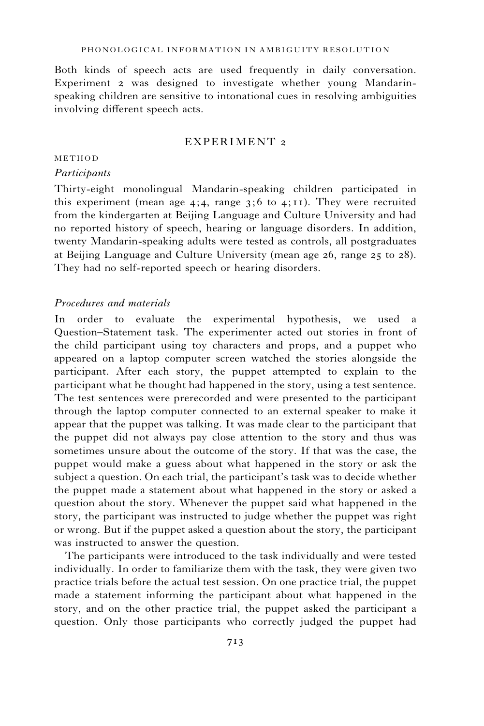Both kinds of speech acts are used frequently in daily conversation. Experiment 2 was designed to investigate whether young Mandarinspeaking children are sensitive to intonational cues in resolving ambiguities involving different speech acts.

## EXPERIMENT 2

#### METHOD

#### Participants

Thirty-eight monolingual Mandarin-speaking children participated in this experiment (mean age 4;4, range 3;6 to 4;11). They were recruited from the kindergarten at Beijing Language and Culture University and had no reported history of speech, hearing or language disorders. In addition, twenty Mandarin-speaking adults were tested as controls, all postgraduates at Beijing Language and Culture University (mean age 26, range 25 to 28). They had no self-reported speech or hearing disorders.

## Procedures and materials

In order to evaluate the experimental hypothesis, we used a Question–Statement task. The experimenter acted out stories in front of the child participant using toy characters and props, and a puppet who appeared on a laptop computer screen watched the stories alongside the participant. After each story, the puppet attempted to explain to the participant what he thought had happened in the story, using a test sentence. The test sentences were prerecorded and were presented to the participant through the laptop computer connected to an external speaker to make it appear that the puppet was talking. It was made clear to the participant that the puppet did not always pay close attention to the story and thus was sometimes unsure about the outcome of the story. If that was the case, the puppet would make a guess about what happened in the story or ask the subject a question. On each trial, the participant's task was to decide whether the puppet made a statement about what happened in the story or asked a question about the story. Whenever the puppet said what happened in the story, the participant was instructed to judge whether the puppet was right or wrong. But if the puppet asked a question about the story, the participant was instructed to answer the question.

The participants were introduced to the task individually and were tested individually. In order to familiarize them with the task, they were given two practice trials before the actual test session. On one practice trial, the puppet made a statement informing the participant about what happened in the story, and on the other practice trial, the puppet asked the participant a question. Only those participants who correctly judged the puppet had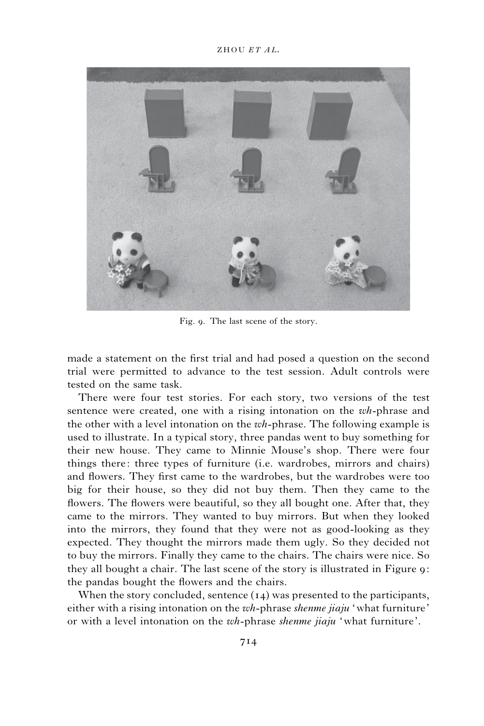

Fig. 9. The last scene of the story.

made a statement on the first trial and had posed a question on the second trial were permitted to advance to the test session. Adult controls were tested on the same task.

There were four test stories. For each story, two versions of the test sentence were created, one with a rising intonation on the wh-phrase and the other with a level intonation on the  $wh$ -phrase. The following example is used to illustrate. In a typical story, three pandas went to buy something for their new house. They came to Minnie Mouse's shop. There were four things there: three types of furniture (i.e. wardrobes, mirrors and chairs) and flowers. They first came to the wardrobes, but the wardrobes were too big for their house, so they did not buy them. Then they came to the flowers. The flowers were beautiful, so they all bought one. After that, they came to the mirrors. They wanted to buy mirrors. But when they looked into the mirrors, they found that they were not as good-looking as they expected. They thought the mirrors made them ugly. So they decided not to buy the mirrors. Finally they came to the chairs. The chairs were nice. So they all bought a chair. The last scene of the story is illustrated in Figure 9: the pandas bought the flowers and the chairs.

When the story concluded, sentence (14) was presented to the participants, either with a rising intonation on the  $wh$ -phrase shenme jiaju 'what furniture' or with a level intonation on the wh-phrase shenme jiaju 'what furniture'.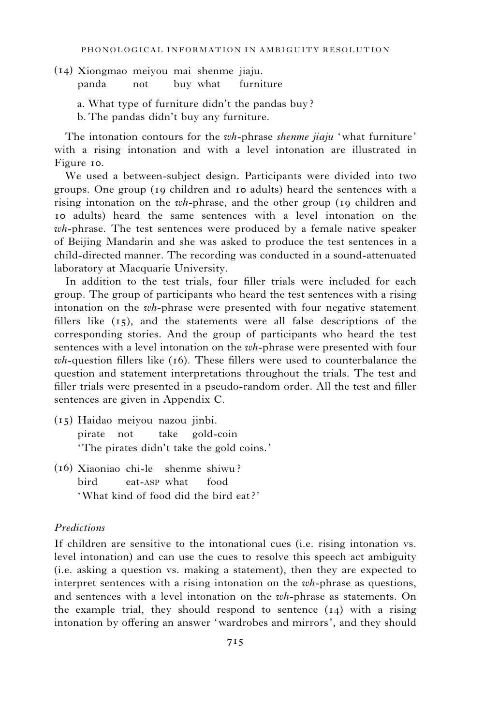- (14) Xiongmao meiyou mai shenme jiaju. panda not buy what furniture
	- a. What type of furniture didn't the pandas buy ?
	- b. The pandas didn't buy any furniture.

The intonation contours for the wh-phrase shenme jiaju 'what furniture' with a rising intonation and with a level intonation are illustrated in Figure 10.

We used a between-subject design. Participants were divided into two groups. One group (19 children and 10 adults) heard the sentences with a rising intonation on the wh-phrase, and the other group (19 children and 10 adults) heard the same sentences with a level intonation on the wh-phrase. The test sentences were produced by a female native speaker of Beijing Mandarin and she was asked to produce the test sentences in a child-directed manner. The recording was conducted in a sound-attenuated laboratory at Macquarie University.

In addition to the test trials, four filler trials were included for each group. The group of participants who heard the test sentences with a rising intonation on the wh-phrase were presented with four negative statement fillers like  $(15)$ , and the statements were all false descriptions of the corresponding stories. And the group of participants who heard the test sentences with a level intonation on the wh-phrase were presented with four  $wh$ -question fillers like (16). These fillers were used to counterbalance the question and statement interpretations throughout the trials. The test and filler trials were presented in a pseudo-random order. All the test and filler sentences are given in Appendix C.

- (15) Haidao meiyou nazou jinbi. pirate not take gold-coin 'The pirates didn't take the gold coins.'
- (16) Xiaoniao chi-le shenme shiwu ? bird eat-ASP what food 'What kind of food did the bird eat?'

## **Predictions**

If children are sensitive to the intonational cues (i.e. rising intonation vs. level intonation) and can use the cues to resolve this speech act ambiguity (i.e. asking a question vs. making a statement), then they are expected to interpret sentences with a rising intonation on the wh-phrase as questions, and sentences with a level intonation on the wh-phrase as statements. On the example trial, they should respond to sentence  $(14)$  with a rising intonation by offering an answer 'wardrobes and mirrors', and they should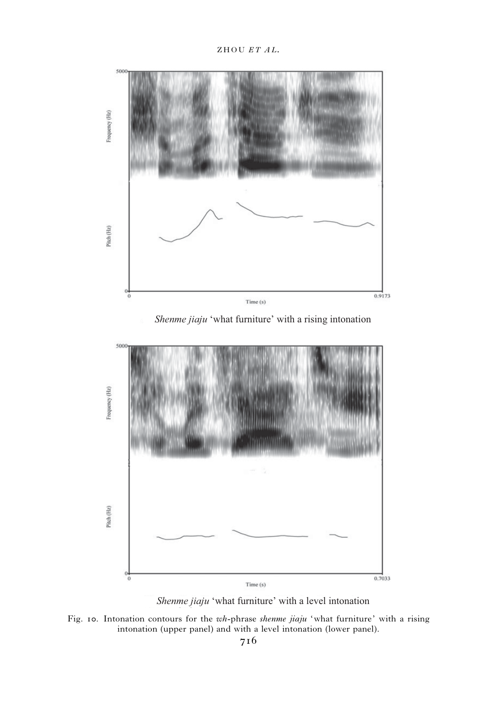

*Shenme jiaju* 'what furniture' with a level intonation

Fig. 10. Intonation contours for the wh-phrase shenme jiaju 'what furniture' with a rising intonation (upper panel) and with a level intonation (lower panel).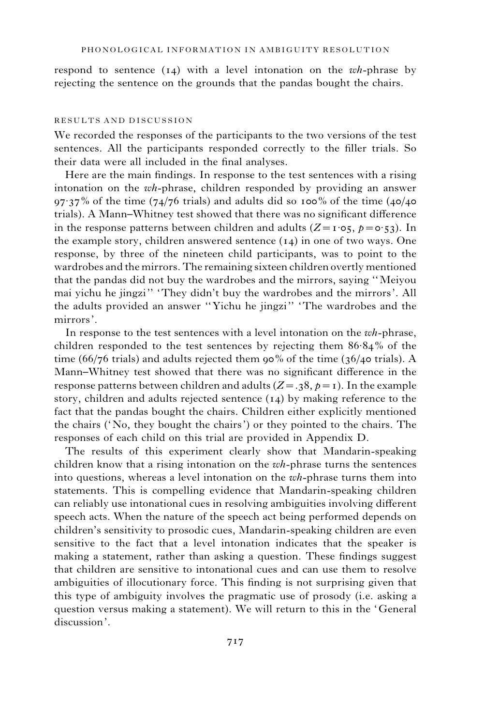respond to sentence  $(14)$  with a level intonation on the wh-phrase by rejecting the sentence on the grounds that the pandas bought the chairs.

#### RESULTS AND DISCUSSION

We recorded the responses of the participants to the two versions of the test sentences. All the participants responded correctly to the filler trials. So their data were all included in the final analyses.

Here are the main findings. In response to the test sentences with a rising intonation on the wh-phrase, children responded by providing an answer  $97.37\%$  of the time  $(74/76 \text{ trials})$  and adults did so 100% of the time  $(40/40)$ trials). A Mann–Whitney test showed that there was no significant difference in the response patterns between children and adults  $(Z=1.05, p=0.53)$ . In the example story, children answered sentence  $(14)$  in one of two ways. One response, by three of the nineteen child participants, was to point to the wardrobes and the mirrors. The remaining sixteen children overtly mentioned that the pandas did not buy the wardrobes and the mirrors, saying ''Meiyou mai yichu he jingzi'' 'They didn't buy the wardrobes and the mirrors'. All the adults provided an answer ''Yichu he jingzi'' 'The wardrobes and the mirrors'.

In response to the test sentences with a level intonation on the wh-phrase, children responded to the test sentences by rejecting them 86.84% of the time (66/76 trials) and adults rejected them 90% of the time (36/40 trials). A Mann–Whitney test showed that there was no significant difference in the response patterns between children and adults  $(Z=.38, p=1)$ . In the example story, children and adults rejected sentence (14) by making reference to the fact that the pandas bought the chairs. Children either explicitly mentioned the chairs ('No, they bought the chairs') or they pointed to the chairs. The responses of each child on this trial are provided in Appendix D.

The results of this experiment clearly show that Mandarin-speaking children know that a rising intonation on the  $wh$ -phrase turns the sentences into questions, whereas a level intonation on the wh-phrase turns them into statements. This is compelling evidence that Mandarin-speaking children can reliably use intonational cues in resolving ambiguities involving different speech acts. When the nature of the speech act being performed depends on children's sensitivity to prosodic cues, Mandarin-speaking children are even sensitive to the fact that a level intonation indicates that the speaker is making a statement, rather than asking a question. These findings suggest that children are sensitive to intonational cues and can use them to resolve ambiguities of illocutionary force. This finding is not surprising given that this type of ambiguity involves the pragmatic use of prosody (i.e. asking a question versus making a statement). We will return to this in the 'General discussion'.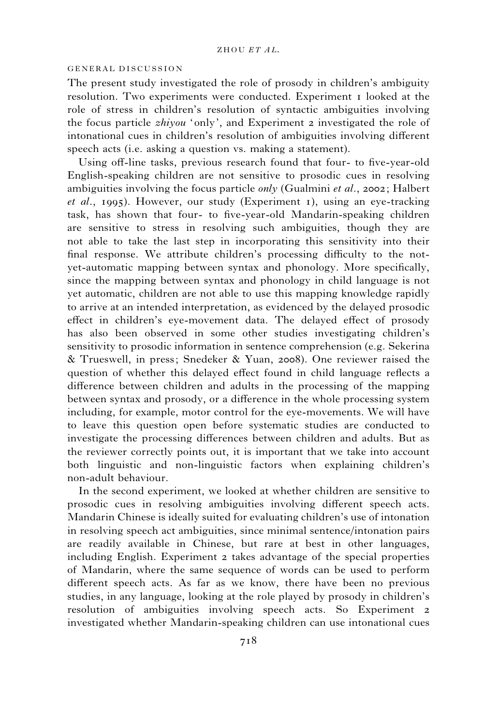#### ZHOU ET AL.

#### GENERAL DISCUSSION

The present study investigated the role of prosody in children's ambiguity resolution. Two experiments were conducted. Experiment 1 looked at the role of stress in children's resolution of syntactic ambiguities involving the focus particle *zhiyou* 'only', and Experiment 2 investigated the role of intonational cues in children's resolution of ambiguities involving different speech acts (i.e. asking a question vs. making a statement).

Using off-line tasks, previous research found that four- to five-year-old English-speaking children are not sensitive to prosodic cues in resolving ambiguities involving the focus particle *only* (Gualmini *et al.*, 2002; Halbert et al., 1995). However, our study (Experiment 1), using an eye-tracking task, has shown that four- to five-year-old Mandarin-speaking children are sensitive to stress in resolving such ambiguities, though they are not able to take the last step in incorporating this sensitivity into their final response. We attribute children's processing difficulty to the notyet-automatic mapping between syntax and phonology. More specifically, since the mapping between syntax and phonology in child language is not yet automatic, children are not able to use this mapping knowledge rapidly to arrive at an intended interpretation, as evidenced by the delayed prosodic effect in children's eye-movement data. The delayed effect of prosody has also been observed in some other studies investigating children's sensitivity to prosodic information in sentence comprehension (e.g. Sekerina & Trueswell, in press; Snedeker & Yuan, 2008). One reviewer raised the question of whether this delayed effect found in child language reflects a difference between children and adults in the processing of the mapping between syntax and prosody, or a difference in the whole processing system including, for example, motor control for the eye-movements. We will have to leave this question open before systematic studies are conducted to investigate the processing differences between children and adults. But as the reviewer correctly points out, it is important that we take into account both linguistic and non-linguistic factors when explaining children's non-adult behaviour.

In the second experiment, we looked at whether children are sensitive to prosodic cues in resolving ambiguities involving different speech acts. Mandarin Chinese is ideally suited for evaluating children's use of intonation in resolving speech act ambiguities, since minimal sentence/intonation pairs are readily available in Chinese, but rare at best in other languages, including English. Experiment 2 takes advantage of the special properties of Mandarin, where the same sequence of words can be used to perform different speech acts. As far as we know, there have been no previous studies, in any language, looking at the role played by prosody in children's resolution of ambiguities involving speech acts. So Experiment 2 investigated whether Mandarin-speaking children can use intonational cues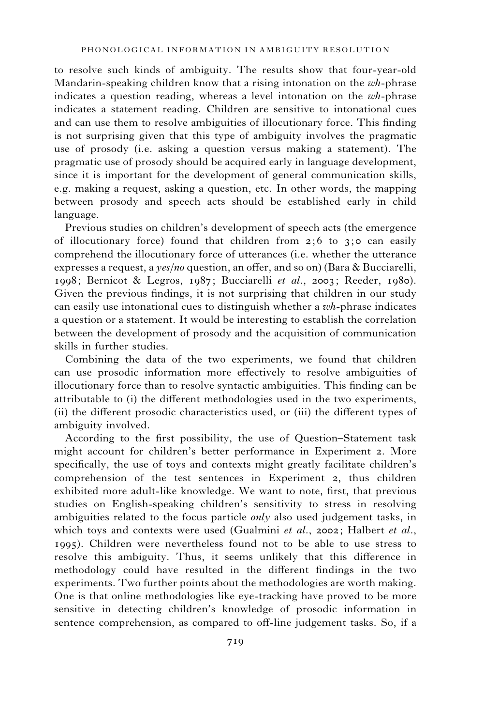to resolve such kinds of ambiguity. The results show that four-year-old Mandarin-speaking children know that a rising intonation on the wh-phrase indicates a question reading, whereas a level intonation on the wh-phrase indicates a statement reading. Children are sensitive to intonational cues and can use them to resolve ambiguities of illocutionary force. This finding is not surprising given that this type of ambiguity involves the pragmatic use of prosody (i.e. asking a question versus making a statement). The pragmatic use of prosody should be acquired early in language development, since it is important for the development of general communication skills, e.g. making a request, asking a question, etc. In other words, the mapping between prosody and speech acts should be established early in child language.

Previous studies on children's development of speech acts (the emergence of illocutionary force) found that children from  $2;6$  to  $3;0$  can easily comprehend the illocutionary force of utterances (i.e. whether the utterance expresses a request, a yes/no question, an offer, and so on) (Bara & Bucciarelli, 1998; Bernicot & Legros, 1987; Bucciarelli et al., 2003; Reeder, 1980). Given the previous findings, it is not surprising that children in our study can easily use intonational cues to distinguish whether a wh-phrase indicates a question or a statement. It would be interesting to establish the correlation between the development of prosody and the acquisition of communication skills in further studies.

Combining the data of the two experiments, we found that children can use prosodic information more effectively to resolve ambiguities of illocutionary force than to resolve syntactic ambiguities. This finding can be attributable to (i) the different methodologies used in the two experiments, (ii) the different prosodic characteristics used, or (iii) the different types of ambiguity involved.

According to the first possibility, the use of Question–Statement task might account for children's better performance in Experiment 2. More specifically, the use of toys and contexts might greatly facilitate children's comprehension of the test sentences in Experiment 2, thus children exhibited more adult-like knowledge. We want to note, first, that previous studies on English-speaking children's sensitivity to stress in resolving ambiguities related to the focus particle *only* also used judgement tasks, in which toys and contexts were used (Gualmini et al., 2002; Halbert et al., 1995). Children were nevertheless found not to be able to use stress to resolve this ambiguity. Thus, it seems unlikely that this difference in methodology could have resulted in the different findings in the two experiments. Two further points about the methodologies are worth making. One is that online methodologies like eye-tracking have proved to be more sensitive in detecting children's knowledge of prosodic information in sentence comprehension, as compared to off-line judgement tasks. So, if a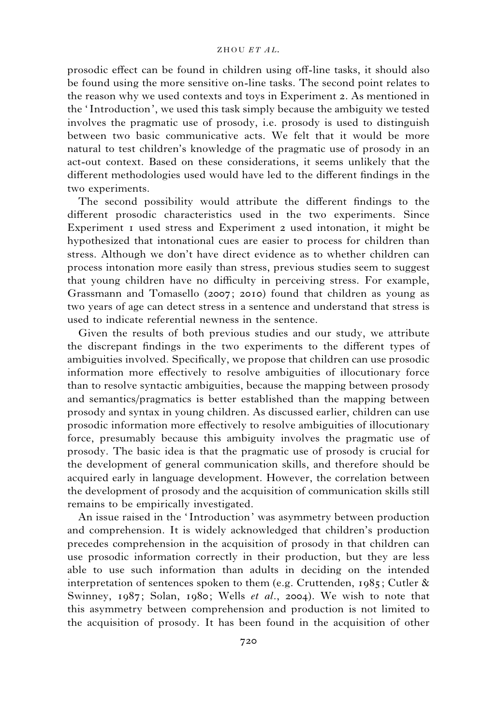#### ZHOU ET AL.

prosodic effect can be found in children using off-line tasks, it should also be found using the more sensitive on-line tasks. The second point relates to the reason why we used contexts and toys in Experiment 2. As mentioned in the 'Introduction', we used this task simply because the ambiguity we tested involves the pragmatic use of prosody, i.e. prosody is used to distinguish between two basic communicative acts. We felt that it would be more natural to test children's knowledge of the pragmatic use of prosody in an act-out context. Based on these considerations, it seems unlikely that the different methodologies used would have led to the different findings in the two experiments.

The second possibility would attribute the different findings to the different prosodic characteristics used in the two experiments. Since Experiment 1 used stress and Experiment 2 used intonation, it might be hypothesized that intonational cues are easier to process for children than stress. Although we don't have direct evidence as to whether children can process intonation more easily than stress, previous studies seem to suggest that young children have no difficulty in perceiving stress. For example, Grassmann and Tomasello (2007; 2010) found that children as young as two years of age can detect stress in a sentence and understand that stress is used to indicate referential newness in the sentence.

Given the results of both previous studies and our study, we attribute the discrepant findings in the two experiments to the different types of ambiguities involved. Specifically, we propose that children can use prosodic information more effectively to resolve ambiguities of illocutionary force than to resolve syntactic ambiguities, because the mapping between prosody and semantics/pragmatics is better established than the mapping between prosody and syntax in young children. As discussed earlier, children can use prosodic information more effectively to resolve ambiguities of illocutionary force, presumably because this ambiguity involves the pragmatic use of prosody. The basic idea is that the pragmatic use of prosody is crucial for the development of general communication skills, and therefore should be acquired early in language development. However, the correlation between the development of prosody and the acquisition of communication skills still remains to be empirically investigated.

An issue raised in the 'Introduction' was asymmetry between production and comprehension. It is widely acknowledged that children's production precedes comprehension in the acquisition of prosody in that children can use prosodic information correctly in their production, but they are less able to use such information than adults in deciding on the intended interpretation of sentences spoken to them (e.g. Cruttenden,  $1985$ ; Cutler & Swinney, 1987; Solan, 1980; Wells et al., 2004). We wish to note that this asymmetry between comprehension and production is not limited to the acquisition of prosody. It has been found in the acquisition of other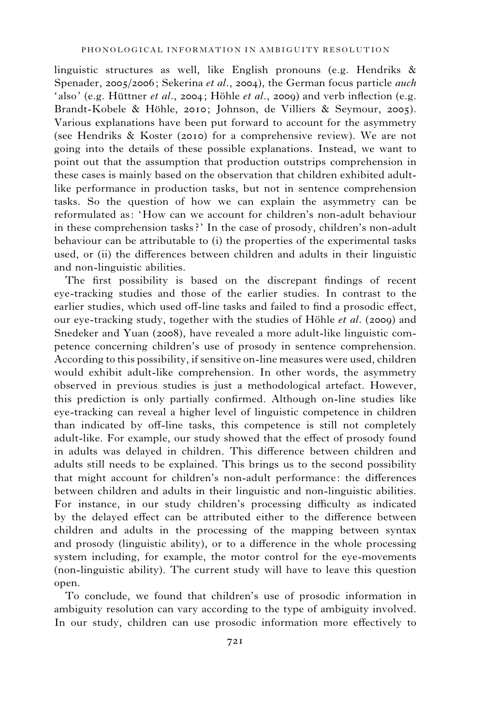linguistic structures as well, like English pronouns (e.g. Hendriks & Spenader, 2005/2006; Sekerina et al., 2004), the German focus particle *auch* 'also' (e.g. Hüttner *et al.*, 2004; Höhle *et al.*, 2009) and verb inflection (e.g. Brandt-Kobele & Höhle, 2010; Johnson, de Villiers & Seymour, 2005). Various explanations have been put forward to account for the asymmetry (see Hendriks & Koster (2010) for a comprehensive review). We are not going into the details of these possible explanations. Instead, we want to point out that the assumption that production outstrips comprehension in these cases is mainly based on the observation that children exhibited adultlike performance in production tasks, but not in sentence comprehension tasks. So the question of how we can explain the asymmetry can be reformulated as: 'How can we account for children's non-adult behaviour in these comprehension tasks?' In the case of prosody, children's non-adult behaviour can be attributable to (i) the properties of the experimental tasks used, or (ii) the differences between children and adults in their linguistic and non-linguistic abilities.

The first possibility is based on the discrepant findings of recent eye-tracking studies and those of the earlier studies. In contrast to the earlier studies, which used off-line tasks and failed to find a prosodic effect, our eye-tracking study, together with the studies of Höhle *et al.* (2009) and Snedeker and Yuan (2008), have revealed a more adult-like linguistic competence concerning children's use of prosody in sentence comprehension. According to this possibility, if sensitive on-line measures were used, children would exhibit adult-like comprehension. In other words, the asymmetry observed in previous studies is just a methodological artefact. However, this prediction is only partially confirmed. Although on-line studies like eye-tracking can reveal a higher level of linguistic competence in children than indicated by off-line tasks, this competence is still not completely adult-like. For example, our study showed that the effect of prosody found in adults was delayed in children. This difference between children and adults still needs to be explained. This brings us to the second possibility that might account for children's non-adult performance: the differences between children and adults in their linguistic and non-linguistic abilities. For instance, in our study children's processing difficulty as indicated by the delayed effect can be attributed either to the difference between children and adults in the processing of the mapping between syntax and prosody (linguistic ability), or to a difference in the whole processing system including, for example, the motor control for the eye-movements (non-linguistic ability). The current study will have to leave this question open.

To conclude, we found that children's use of prosodic information in ambiguity resolution can vary according to the type of ambiguity involved. In our study, children can use prosodic information more effectively to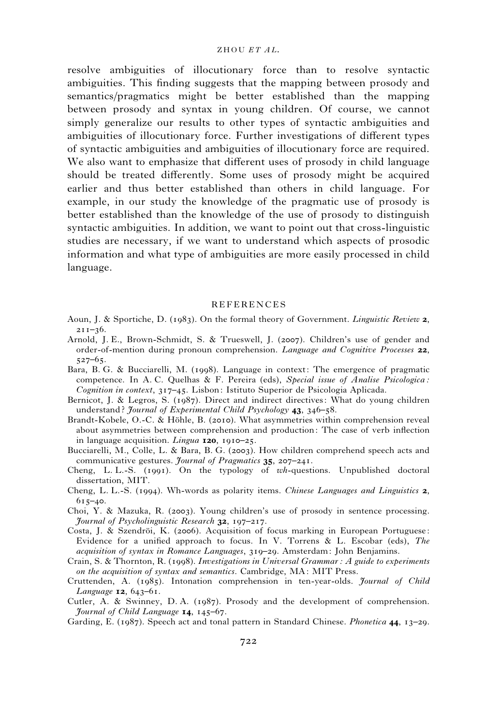resolve ambiguities of illocutionary force than to resolve syntactic ambiguities. This finding suggests that the mapping between prosody and semantics/pragmatics might be better established than the mapping between prosody and syntax in young children. Of course, we cannot simply generalize our results to other types of syntactic ambiguities and ambiguities of illocutionary force. Further investigations of different types of syntactic ambiguities and ambiguities of illocutionary force are required. We also want to emphasize that different uses of prosody in child language should be treated differently. Some uses of prosody might be acquired earlier and thus better established than others in child language. For example, in our study the knowledge of the pragmatic use of prosody is better established than the knowledge of the use of prosody to distinguish syntactic ambiguities. In addition, we want to point out that cross-linguistic studies are necessary, if we want to understand which aspects of prosodic information and what type of ambiguities are more easily processed in child language.

#### REFERENCES

- Aoun, J. & Sportiche, D. (1983). On the formal theory of Government. Linguistic Review 2,  $211-36.$
- Arnold, J. E., Brown-Schmidt, S. & Trueswell, J. (2007). Children's use of gender and order-of-mention during pronoun comprehension. Language and Cognitive Processes 22, 527–65.
- Bara, B. G. & Bucciarelli, M. (1998). Language in context: The emergence of pragmatic competence. In A. C. Quelhas & F. Pereira (eds), Special issue of Analise Psicologica: Cognition in context, 317–45. Lisbon: Istituto Superior de Psicologia Aplicada.
- Bernicot, J. & Legros, S. (1987). Direct and indirect directives: What do young children understand? Journal of Experimental Child Psychology 43, 346-58.
- Brandt-Kobele, O.-C. & Höhle, B. (2010). What asymmetries within comprehension reveal about asymmetries between comprehension and production: The case of verb inflection in language acquisition. *Lingua*  $120$ ,  $1910-25$ .
- Bucciarelli, M., Colle, L. & Bara, B. G. (2003). How children comprehend speech acts and communicative gestures. Journal of Pragmatics 35, 207-241.
- Cheng, L. L.-S. (1991). On the typology of wh-questions. Unpublished doctoral dissertation, MIT.
- Cheng, L. L.-S. (1994). Wh-words as polarity items. Chinese Languages and Linguistics  $\mathbf{z}$ ,  $615 - 40.$
- Choi, Y. & Mazuka, R. (2003). Young children's use of prosody in sentence processing. Journal of Psycholinguistic Research 32, 197–217.
- Costa, J. & Szendröi, K. (2006). Acquisition of focus marking in European Portuguese: Evidence for a unified approach to focus. In V. Torrens & L. Escobar (eds), The acquisition of syntax in Romance Languages, 319–29. Amsterdam: John Benjamins.
- Crain, S. & Thornton, R. (1998). Investigations in Universal Grammar : A guide to experiments on the acquisition of syntax and semantics. Cambridge, MA: MIT Press.
- Cruttenden, A. (1985). Intonation comprehension in ten-year-olds. Journal of Child Language 12, 643–61.
- Cutler, A. & Swinney, D. A. (1987). Prosody and the development of comprehension. Journal of Child Language 14, 145–67.
- Garding, E. (1987). Speech act and tonal pattern in Standard Chinese. *Phonetica* 44, 13–29.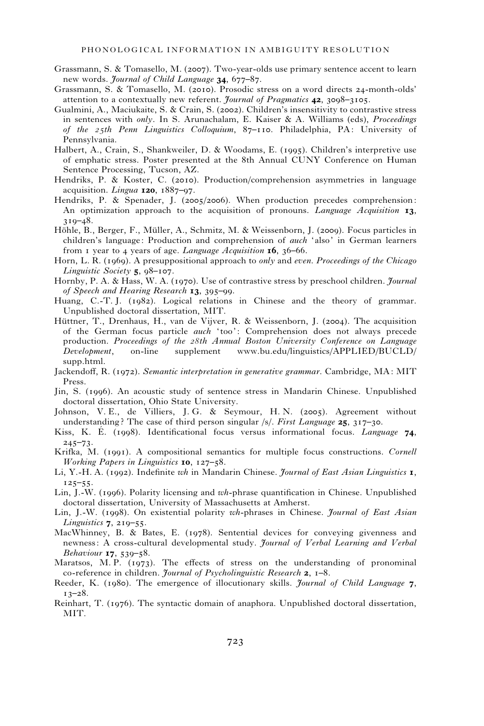- Grassmann, S. & Tomasello, M. (2007). Two-year-olds use primary sentence accent to learn new words. Journal of Child Language 34, 677-87.
- Grassmann, S. & Tomasello, M. (2010). Prosodic stress on a word directs 24-month-olds' attention to a contextually new referent. *Fournal of Pragmatics*  $42$ ,  $3008-3105$ .
- Gualmini, A., Maciukaite, S. & Crain, S. (2002). Children's insensitivity to contrastive stress in sentences with only. In S. Arunachalam, E. Kaiser & A. Williams (eds), Proceedings of the 25th Penn Linguistics Colloquium, 87–110. Philadelphia, PA: University of Pennsylvania.
- Halbert, A., Crain, S., Shankweiler, D. & Woodams, E. (1995). Children's interpretive use of emphatic stress. Poster presented at the 8th Annual CUNY Conference on Human Sentence Processing, Tucson, AZ.
- Hendriks, P. & Koster, C. (2010). Production/comprehension asymmetries in language acquisition. Lingua  $120$ ,  $1887-97$ .
- Hendriks, P. & Spenader, J. (2005/2006). When production precedes comprehension: An optimization approach to the acquisition of pronouns. Language Acquisition 13, 319–48.
- Höhle, B., Berger, F., Müller, A., Schmitz, M. & Weissenborn, J. (2009). Focus particles in children's language: Production and comprehension of auch 'also' in German learners from 1 year to 4 years of age. Language Acquisition  $16$ ,  $36-66$ .
- Horn, L. R. (1969). A presuppositional approach to *only* and *even. Proceedings of the Chicago* Linguistic Society 5, 98-107.
- Hornby, P. A. & Hass, W. A. (1970). Use of contrastive stress by preschool children. Journal of Speech and Hearing Research 13, 395-99.
- Huang, C.-T. J. (1982). Logical relations in Chinese and the theory of grammar. Unpublished doctoral dissertation, MIT.
- Hüttner, T., Drenhaus, H., van de Vijver, R. & Weissenborn, J. (2004). The acquisition of the German focus particle *auch* 'too': Comprehension does not always precede production. Proceedings of the 28th Annual Boston University Conference on Language Development, on-line supplement www.bu.edu/linguistics/APPLIED/BUCLD/ supp.html.
- Jackendoff, R. (1972). Semantic interpretation in generative grammar. Cambridge, MA: MIT Press.
- Jin, S. (1996). An acoustic study of sentence stress in Mandarin Chinese. Unpublished doctoral dissertation, Ohio State University.
- Johnson, V. E., de Villiers, J. G. & Seymour, H. N. (2005). Agreement without understanding? The case of third person singular  $/s/$ . First Language 25, 317-30.
- Kiss, K. É. (1998). Identificational focus versus informational focus. Language  $74$ ,  $245 - 73$ .
- Krifka, M. (1991). A compositional semantics for multiple focus constructions. Cornell Working Papers in Linguistics 10, 127–58.
- Li, Y.-H. A. (1992). Indefinite wh in Mandarin Chinese. Journal of East Asian Linguistics 1, 125–55.
- Lin, J.-W. (1996). Polarity licensing and wh-phrase quantification in Chinese. Unpublished doctoral dissertation, University of Massachusetts at Amherst.
- Lin, J.-W. (1998). On existential polarity wh-phrases in Chinese. Journal of East Asian Linguistics 7, 219–55.
- MacWhinney, B. & Bates, E. (1978). Sentential devices for conveying givenness and newness: A cross-cultural developmental study. Journal of Verbal Learning and Verbal Behaviour 17, 539–58.
- Maratsos, M. P. (1973). The effects of stress on the understanding of pronominal co-reference in children. Journal of Psycholinguistic Research 2, 1-8.
- Reeder, K. (1980). The emergence of illocutionary skills. Journal of Child Language 7, 13–28.
- Reinhart, T. (1976). The syntactic domain of anaphora. Unpublished doctoral dissertation, MIT.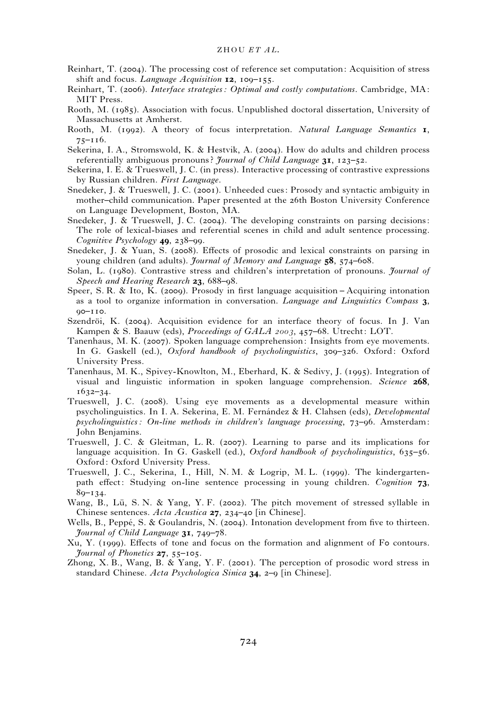- Reinhart, T. (2004). The processing cost of reference set computation: Acquisition of stress shift and focus. *Language Acquisition* 12, 109-155.
- Reinhart, T. (2006). *Interface strategies: Optimal and costly computations*. Cambridge, MA: MIT Press.
- Rooth, M. (1985). Association with focus. Unpublished doctoral dissertation, University of Massachusetts at Amherst.
- Rooth, M. (1992). A theory of focus interpretation. Natural Language Semantics  $I$ , 75–116.
- Sekerina, I. A., Stromswold, K. & Hestvik, A. (2004). How do adults and children process referentially ambiguous pronouns? Journal of Child Language 31, 123-52.
- Sekerina, I. E. & Trueswell, J. C. (in press). Interactive processing of contrastive expressions by Russian children. First Language.
- Snedeker, J. & Trueswell, J. C. (2001). Unheeded cues: Prosody and syntactic ambiguity in mother–child communication. Paper presented at the 26th Boston University Conference on Language Development, Boston, MA.
- Snedeker, J. & Trueswell, J. C. (2004). The developing constraints on parsing decisions: The role of lexical-biases and referential scenes in child and adult sentence processing. Cognitive Psychology 49, 238–99.
- Snedeker, J. & Yuan, S. (2008). Effects of prosodic and lexical constraints on parsing in young children (and adults). *Journal of Memory and Language* 58, 574–608.
- Solan, L. (1980). Contrastive stress and children's interpretation of pronouns. Journal of Speech and Hearing Research 23, 688-98.
- Speer, S. R. & Ito, K. (2009). Prosody in first language acquisition Acquiring intonation as a tool to organize information in conversation. Language and Linguistics Compass 3, 90–110.
- Szendröi, K. (2004). Acquisition evidence for an interface theory of focus. In J. Van Kampen & S. Baauw (eds), Proceedings of GALA 2003, 457–68. Utrecht: LOT.
- Tanenhaus, M. K. (2007). Spoken language comprehension: Insights from eye movements. In G. Gaskell (ed.), Oxford handbook of psycholinguistics, 309–326. Oxford: Oxford University Press.
- Tanenhaus, M. K., Spivey-Knowlton, M., Eberhard, K. & Sedivy, J. (1995). Integration of visual and linguistic information in spoken language comprehension. Science 268, 1632–34.
- Trueswell, J. C. (2008). Using eye movements as a developmental measure within psycholinguistics. In I. A. Sekerina, E. M. Fernández & H. Clahsen (eds), Developmental psycholinguistics : On-line methods in children's language processing, 73–96. Amsterdam: John Benjamins.
- Trueswell, J. C. & Gleitman, L. R. (2007). Learning to parse and its implications for language acquisition. In G. Gaskell (ed.), *Oxford handbook of psycholinguistics*,  $635-56$ . Oxford: Oxford University Press.
- Trueswell, J. C., Sekerina, I., Hill, N. M. & Logrip, M. L. (1999). The kindergartenpath effect: Studying on-line sentence processing in young children. Cognition 73,  $89 - 134$ .
- Wang, B., Lü, S. N. & Yang, Y. F. (2002). The pitch movement of stressed syllable in Chinese sentences. Acta Acustica 27, 234-40 [in Chinese].
- Wells, B., Peppé, S. & Goulandris, N. (2004). Intonation development from five to thirteen. Journal of Child Language 31, 749–78.
- Xu, Y. (1999). Effects of tone and focus on the formation and alignment of Fo contours. Journal of Phonetics 27, 55–105.
- Zhong, X. B., Wang, B. & Yang, Y. F. (2001). The perception of prosodic word stress in standard Chinese. Acta Psychologica Sinica 34, 2-9 [in Chinese].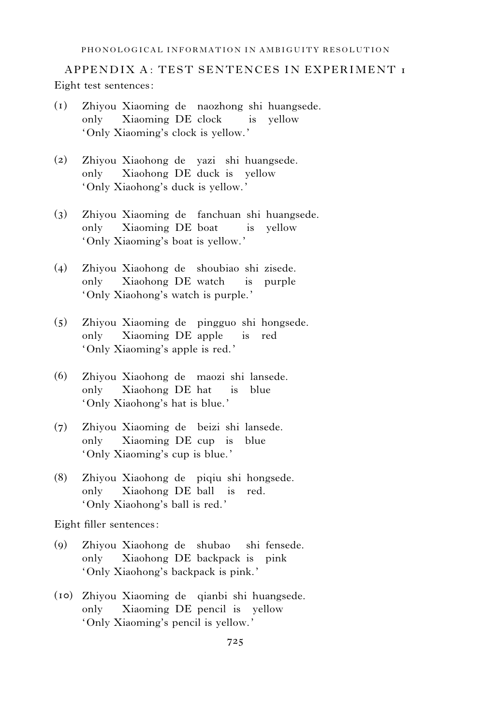APPENDIX A: TEST SENTENCES IN EXPERIMENT 1 Eight test sentences:

- (1) Zhiyou Xiaoming de naozhong shi huangsede. only Xiaoming DE clock is yellow 'Only Xiaoming's clock is yellow.'
- (2) Zhiyou Xiaohong de yazi shi huangsede. only Xiaohong DE duck is yellow 'Only Xiaohong's duck is yellow.'
- (3) Zhiyou Xiaoming de fanchuan shi huangsede. only Xiaoming DE boat is yellow 'Only Xiaoming's boat is yellow.'
- (4) Zhiyou Xiaohong de shoubiao shi zisede. only Xiaohong DE watch is purple 'Only Xiaohong's watch is purple.'
- (5) Zhiyou Xiaoming de pingguo shi hongsede. only Xiaoming DE apple is red 'Only Xiaoming's apple is red.'
- (6) Zhiyou Xiaohong de maozi shi lansede. only Xiaohong DE hat is blue 'Only Xiaohong's hat is blue.'
- (7) Zhiyou Xiaoming de beizi shi lansede. only Xiaoming DE cup is blue 'Only Xiaoming's cup is blue.'
- (8) Zhiyou Xiaohong de piqiu shi hongsede. only Xiaohong DE ball is red. 'Only Xiaohong's ball is red.'

Eight filler sentences:

- (9) Zhiyou Xiaohong de shubao shi fensede. only Xiaohong DE backpack is pink 'Only Xiaohong's backpack is pink.'
- (10) Zhiyou Xiaoming de qianbi shi huangsede. only Xiaoming DE pencil is yellow 'Only Xiaoming's pencil is yellow.'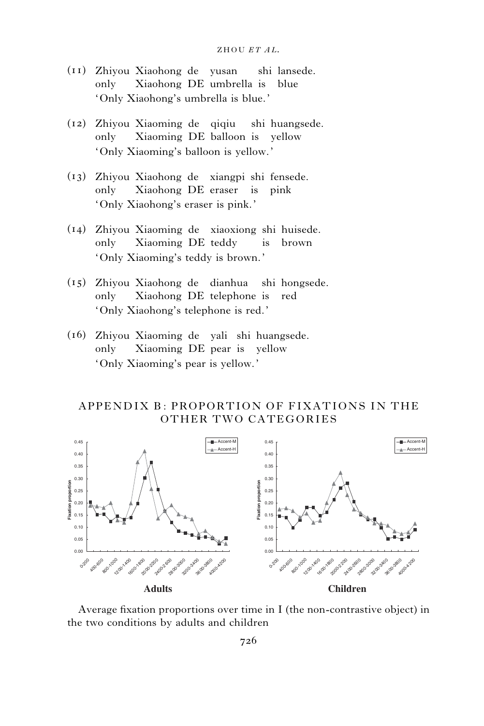- (11) Zhiyou Xiaohong de yusan shi lansede. only Xiaohong DE umbrella is blue 'Only Xiaohong's umbrella is blue.'
- (12) Zhiyou Xiaoming de qiqiu shi huangsede. only Xiaoming DE balloon is yellow 'Only Xiaoming's balloon is yellow.'
- (13) Zhiyou Xiaohong de xiangpi shi fensede. only Xiaohong DE eraser is pink 'Only Xiaohong's eraser is pink.'
- (14) Zhiyou Xiaoming de xiaoxiong shi huisede. only Xiaoming DE teddy is brown 'Only Xiaoming's teddy is brown.'
- (15) Zhiyou Xiaohong de dianhua shi hongsede. only Xiaohong DE telephone is red 'Only Xiaohong's telephone is red.'
- (16) Zhiyou Xiaoming de yali shi huangsede. only Xiaoming DE pear is yellow 'Only Xiaoming's pear is yellow.'

## APPENDIX B: PROPORTION OF FIXATIONS IN THE OTHER TWO CATEGORIES



Average fixation proportions over time in I (the non-contrastive object) in the two conditions by adults and children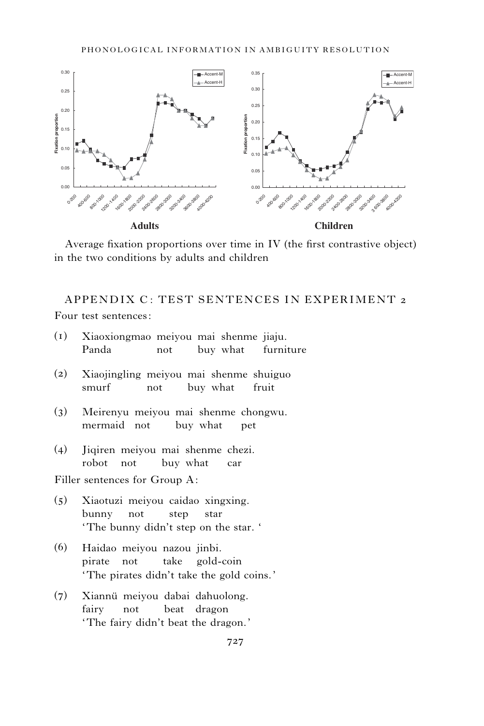

Average fixation proportions over time in IV (the first contrastive object) in the two conditions by adults and children

APPENDIX C: TEST SENTENCES IN EXPERIMENT 2 Four test sentences:

- (1) Xiaoxiongmao meiyou mai shenme jiaju. Panda not buy what furniture
- (2) Xiaojingling meiyou mai shenme shuiguo smurf not buy what fruit
- (3) Meirenyu meiyou mai shenme chongwu. mermaid not buy what pet
- (4) Jiqiren meiyou mai shenme chezi. robot not buy what car

Filler sentences for Group A:

- (5) Xiaotuzi meiyou caidao xingxing. bunny not step star 'The bunny didn't step on the star. '
- (6) Haidao meiyou nazou jinbi. pirate not take gold-coin 'The pirates didn't take the gold coins.'
- (7) Xiannu¨ meiyou dabai dahuolong. fairy not beat dragon 'The fairy didn't beat the dragon.'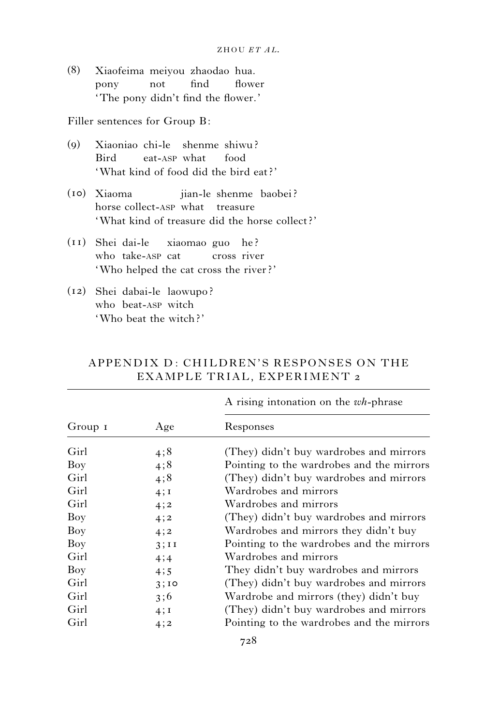(8) Xiaofeima meiyou zhaodao hua. pony not find flower 'The pony didn't find the flower.'

Filler sentences for Group B:

- (9) Xiaoniao chi-le shenme shiwu? Bird eat-ASP what food 'What kind of food did the bird eat?'
- (10) Xiaoma jian-le shenme baobei ? horse collect-ASP what treasure 'What kind of treasure did the horse collect ?'
- (11) Shei dai-le xiaomao guo he ? who take-ASP cat cross river 'Who helped the cat cross the river ?'
- (12) Shei dabai-le laowupo ? who beat-ASP witch 'Who beat the witch?'

|         | Age  | A rising intonation on the wh-phrase<br>Responses |  |
|---------|------|---------------------------------------------------|--|
| Group 1 |      |                                                   |  |
| Girl    | 4;8  | (They) didn't buy wardrobes and mirrors           |  |
| Boy     | 4;8  | Pointing to the wardrobes and the mirrors         |  |
| Girl    | 4;8  | (They) didn't buy wardrobes and mirrors           |  |
| Girl    | 4;1  | Wardrobes and mirrors                             |  |
| Girl    | 4;2  | Wardrobes and mirrors                             |  |
| Boy     | 4;2  | (They) didn't buy wardrobes and mirrors           |  |
| Boy     | 4;2  | Wardrobes and mirrors they didn't buy             |  |
| Boy     | 3;11 | Pointing to the wardrobes and the mirrors         |  |
| Girl    | 4;4  | Wardrobes and mirrors                             |  |
| Boy     | 4;5  | They didn't buy wardrobes and mirrors             |  |
| Girl    | 3;10 | (They) didn't buy wardrobes and mirrors           |  |
| Girl    | 3;6  | Wardrobe and mirrors (they) didn't buy            |  |
| Girl    | 4;1  | (They) didn't buy wardrobes and mirrors           |  |
| Girl    | 4;2  | Pointing to the wardrobes and the mirrors         |  |

APPENDIX D: CHILDREN'S RESPONSES ON THE EXAMPLE TRIAL, EXPERIMENT 2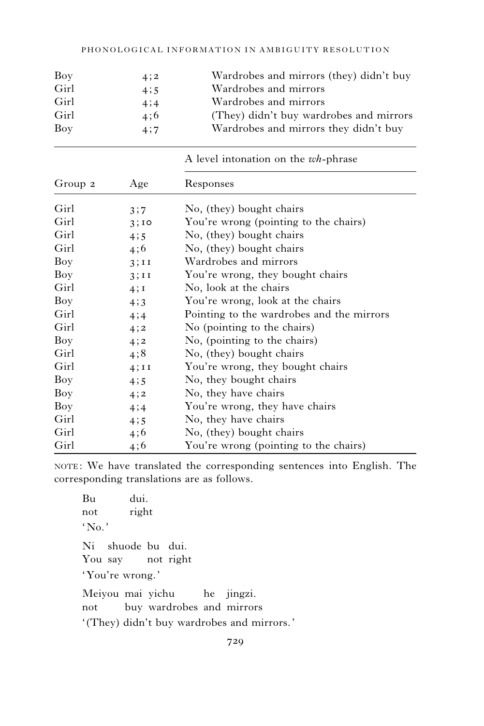| Boy     | 4;2              | Wardrobes and mirrors (they) didn't buy   |  |
|---------|------------------|-------------------------------------------|--|
| Girl    | 4;5              | Wardrobes and mirrors                     |  |
| Girl    | 4;4              | Wardrobes and mirrors                     |  |
| Girl    | 4;6              | (They) didn't buy wardrobes and mirrors   |  |
| Boy     | 4;7              | Wardrobes and mirrors they didn't buy     |  |
|         |                  | A level intonation on the wh-phrase       |  |
| Group 2 | Age              | Responses                                 |  |
| Girl    | 3:7              | No, (they) bought chairs                  |  |
| Girl    | 3:10             | You're wrong (pointing to the chairs)     |  |
| Girl    | 4;5              | No, (they) bought chairs                  |  |
| Girl    | 4;6              | No, (they) bought chairs                  |  |
| Boy     | 3;11             | Wardrobes and mirrors                     |  |
| Boy     | 3;11             | You're wrong, they bought chairs          |  |
| Girl    | 4;1              | No, look at the chairs                    |  |
| Boy     | 4;3              | You're wrong, look at the chairs          |  |
| Girl    | 4;4              | Pointing to the wardrobes and the mirrors |  |
| Girl    | 4;2              | No (pointing to the chairs)               |  |
| Boy     | 4;2              | No, (pointing to the chairs)              |  |
| Girl    | 4;8              | No, (they) bought chairs                  |  |
| Girl    | 4;I <sub>I</sub> | You're wrong, they bought chairs          |  |
| Boy     | 4;5              | No, they bought chairs                    |  |
| Boy     | 4;2              | No, they have chairs                      |  |
| Boy     | 4;4              | You're wrong, they have chairs            |  |
| Girl    | 4;5              | No, they have chairs                      |  |
| Girl    | 4;6              | No, (they) bought chairs                  |  |
| Girl    | 4:6              | You're wrong (pointing to the chairs)     |  |

#### PHONOLOGICAL INFORMATION IN AMBIGUITY RESOLUTION

NOTE: We have translated the corresponding sentences into English. The corresponding translations are as follows.

Bu dui. not right 'No.' Ni shuode bu dui. You say 'You're wrong.' Meiyou mai yichu he jingzi. not buy wardrobes and mirrors ' (They) didn't buy wardrobes and mirrors.'